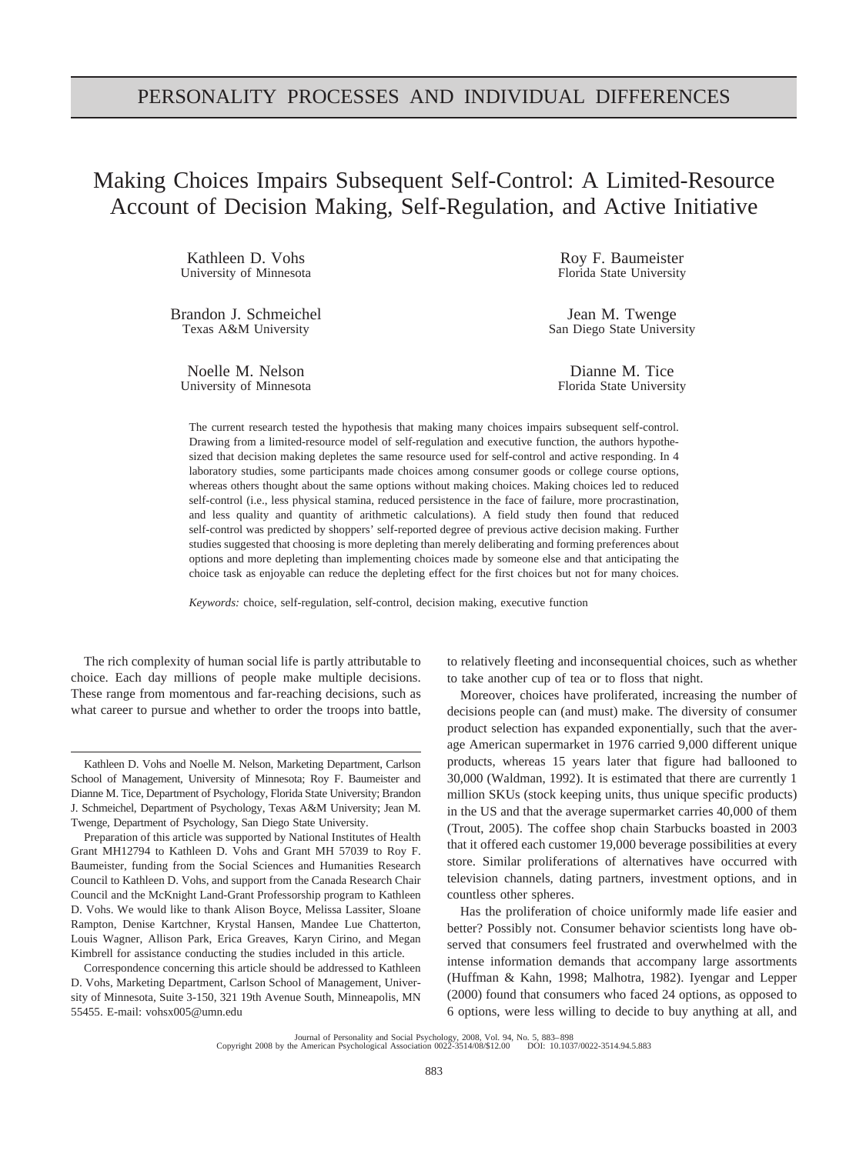## PERSONALITY PROCESSES AND INDIVIDUAL DIFFERENCES

# Making Choices Impairs Subsequent Self-Control: A Limited-Resource Account of Decision Making, Self-Regulation, and Active Initiative

Kathleen D. Vohs University of Minnesota

Brandon J. Schmeichel Texas A&M University

Noelle M. Nelson University of Minnesota

Roy F. Baumeister Florida State University

Jean M. Twenge San Diego State University

Dianne M. Tice Florida State University

The current research tested the hypothesis that making many choices impairs subsequent self-control. Drawing from a limited-resource model of self-regulation and executive function, the authors hypothesized that decision making depletes the same resource used for self-control and active responding. In 4 laboratory studies, some participants made choices among consumer goods or college course options, whereas others thought about the same options without making choices. Making choices led to reduced self-control (i.e., less physical stamina, reduced persistence in the face of failure, more procrastination, and less quality and quantity of arithmetic calculations). A field study then found that reduced self-control was predicted by shoppers' self-reported degree of previous active decision making. Further studies suggested that choosing is more depleting than merely deliberating and forming preferences about options and more depleting than implementing choices made by someone else and that anticipating the choice task as enjoyable can reduce the depleting effect for the first choices but not for many choices.

*Keywords:* choice, self-regulation, self-control, decision making, executive function

The rich complexity of human social life is partly attributable to choice. Each day millions of people make multiple decisions. These range from momentous and far-reaching decisions, such as what career to pursue and whether to order the troops into battle,

Kathleen D. Vohs and Noelle M. Nelson, Marketing Department, Carlson School of Management, University of Minnesota; Roy F. Baumeister and Dianne M. Tice, Department of Psychology, Florida State University; Brandon J. Schmeichel, Department of Psychology, Texas A&M University; Jean M. Twenge, Department of Psychology, San Diego State University.

Preparation of this article was supported by National Institutes of Health Grant MH12794 to Kathleen D. Vohs and Grant MH 57039 to Roy F. Baumeister, funding from the Social Sciences and Humanities Research Council to Kathleen D. Vohs, and support from the Canada Research Chair Council and the McKnight Land-Grant Professorship program to Kathleen D. Vohs. We would like to thank Alison Boyce, Melissa Lassiter, Sloane Rampton, Denise Kartchner, Krystal Hansen, Mandee Lue Chatterton, Louis Wagner, Allison Park, Erica Greaves, Karyn Cirino, and Megan Kimbrell for assistance conducting the studies included in this article.

Correspondence concerning this article should be addressed to Kathleen D. Vohs, Marketing Department, Carlson School of Management, University of Minnesota, Suite 3-150, 321 19th Avenue South, Minneapolis, MN 55455. E-mail: vohsx005@umn.edu

to relatively fleeting and inconsequential choices, such as whether to take another cup of tea or to floss that night.

Moreover, choices have proliferated, increasing the number of decisions people can (and must) make. The diversity of consumer product selection has expanded exponentially, such that the average American supermarket in 1976 carried 9,000 different unique products, whereas 15 years later that figure had ballooned to 30,000 (Waldman, 1992). It is estimated that there are currently 1 million SKUs (stock keeping units, thus unique specific products) in the US and that the average supermarket carries 40,000 of them (Trout, 2005). The coffee shop chain Starbucks boasted in 2003 that it offered each customer 19,000 beverage possibilities at every store. Similar proliferations of alternatives have occurred with television channels, dating partners, investment options, and in countless other spheres.

Has the proliferation of choice uniformly made life easier and better? Possibly not. Consumer behavior scientists long have observed that consumers feel frustrated and overwhelmed with the intense information demands that accompany large assortments (Huffman & Kahn, 1998; Malhotra, 1982). Iyengar and Lepper (2000) found that consumers who faced 24 options, as opposed to 6 options, were less willing to decide to buy anything at all, and

Journal of Personality and Social Psychology, 2008, Vol. 94, No. 5, 883– 898 Copyright 2008 by the American Psychological Association 0022-3514/08/\$12.00 DOI: 10.1037/0022-3514.94.5.883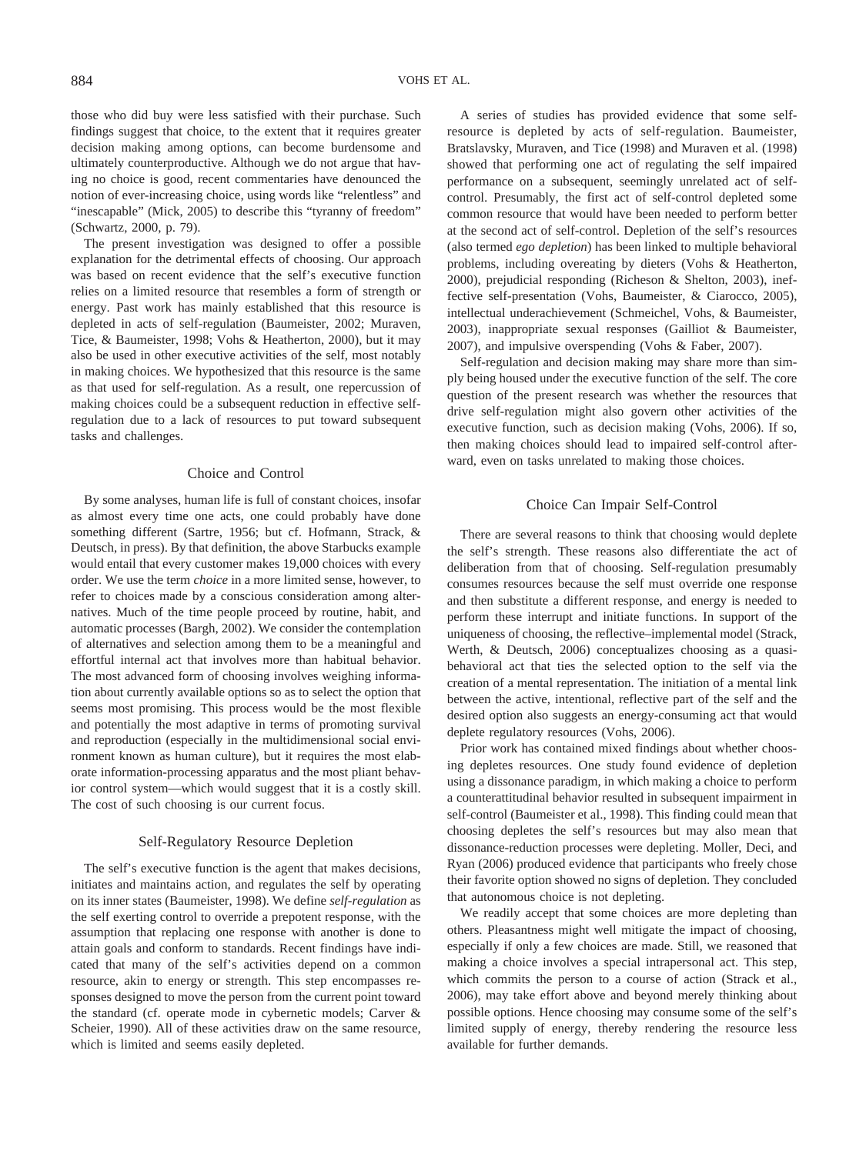those who did buy were less satisfied with their purchase. Such findings suggest that choice, to the extent that it requires greater decision making among options, can become burdensome and ultimately counterproductive. Although we do not argue that having no choice is good, recent commentaries have denounced the notion of ever-increasing choice, using words like "relentless" and "inescapable" (Mick, 2005) to describe this "tyranny of freedom" (Schwartz, 2000, p. 79).

The present investigation was designed to offer a possible explanation for the detrimental effects of choosing. Our approach was based on recent evidence that the self's executive function relies on a limited resource that resembles a form of strength or energy. Past work has mainly established that this resource is depleted in acts of self-regulation (Baumeister, 2002; Muraven, Tice, & Baumeister, 1998; Vohs & Heatherton, 2000), but it may also be used in other executive activities of the self, most notably in making choices. We hypothesized that this resource is the same as that used for self-regulation. As a result, one repercussion of making choices could be a subsequent reduction in effective selfregulation due to a lack of resources to put toward subsequent tasks and challenges.

### Choice and Control

By some analyses, human life is full of constant choices, insofar as almost every time one acts, one could probably have done something different (Sartre, 1956; but cf. Hofmann, Strack, & Deutsch, in press). By that definition, the above Starbucks example would entail that every customer makes 19,000 choices with every order. We use the term *choice* in a more limited sense, however, to refer to choices made by a conscious consideration among alternatives. Much of the time people proceed by routine, habit, and automatic processes (Bargh, 2002). We consider the contemplation of alternatives and selection among them to be a meaningful and effortful internal act that involves more than habitual behavior. The most advanced form of choosing involves weighing information about currently available options so as to select the option that seems most promising. This process would be the most flexible and potentially the most adaptive in terms of promoting survival and reproduction (especially in the multidimensional social environment known as human culture), but it requires the most elaborate information-processing apparatus and the most pliant behavior control system—which would suggest that it is a costly skill. The cost of such choosing is our current focus.

#### Self-Regulatory Resource Depletion

The self's executive function is the agent that makes decisions, initiates and maintains action, and regulates the self by operating on its inner states (Baumeister, 1998). We define *self-regulation* as the self exerting control to override a prepotent response, with the assumption that replacing one response with another is done to attain goals and conform to standards. Recent findings have indicated that many of the self's activities depend on a common resource, akin to energy or strength. This step encompasses responses designed to move the person from the current point toward the standard (cf. operate mode in cybernetic models; Carver & Scheier, 1990). All of these activities draw on the same resource, which is limited and seems easily depleted.

A series of studies has provided evidence that some selfresource is depleted by acts of self-regulation. Baumeister, Bratslavsky, Muraven, and Tice (1998) and Muraven et al. (1998) showed that performing one act of regulating the self impaired performance on a subsequent, seemingly unrelated act of selfcontrol. Presumably, the first act of self-control depleted some common resource that would have been needed to perform better at the second act of self-control. Depletion of the self's resources (also termed *ego depletion*) has been linked to multiple behavioral problems, including overeating by dieters (Vohs & Heatherton, 2000), prejudicial responding (Richeson & Shelton, 2003), ineffective self-presentation (Vohs, Baumeister, & Ciarocco, 2005), intellectual underachievement (Schmeichel, Vohs, & Baumeister, 2003), inappropriate sexual responses (Gailliot & Baumeister, 2007), and impulsive overspending (Vohs & Faber, 2007).

Self-regulation and decision making may share more than simply being housed under the executive function of the self. The core question of the present research was whether the resources that drive self-regulation might also govern other activities of the executive function, such as decision making (Vohs, 2006). If so, then making choices should lead to impaired self-control afterward, even on tasks unrelated to making those choices.

#### Choice Can Impair Self-Control

There are several reasons to think that choosing would deplete the self's strength. These reasons also differentiate the act of deliberation from that of choosing. Self-regulation presumably consumes resources because the self must override one response and then substitute a different response, and energy is needed to perform these interrupt and initiate functions. In support of the uniqueness of choosing, the reflective–implemental model (Strack, Werth, & Deutsch, 2006) conceptualizes choosing as a quasibehavioral act that ties the selected option to the self via the creation of a mental representation. The initiation of a mental link between the active, intentional, reflective part of the self and the desired option also suggests an energy-consuming act that would deplete regulatory resources (Vohs, 2006).

Prior work has contained mixed findings about whether choosing depletes resources. One study found evidence of depletion using a dissonance paradigm, in which making a choice to perform a counterattitudinal behavior resulted in subsequent impairment in self-control (Baumeister et al., 1998). This finding could mean that choosing depletes the self's resources but may also mean that dissonance-reduction processes were depleting. Moller, Deci, and Ryan (2006) produced evidence that participants who freely chose their favorite option showed no signs of depletion. They concluded that autonomous choice is not depleting.

We readily accept that some choices are more depleting than others. Pleasantness might well mitigate the impact of choosing, especially if only a few choices are made. Still, we reasoned that making a choice involves a special intrapersonal act. This step, which commits the person to a course of action (Strack et al., 2006), may take effort above and beyond merely thinking about possible options. Hence choosing may consume some of the self's limited supply of energy, thereby rendering the resource less available for further demands.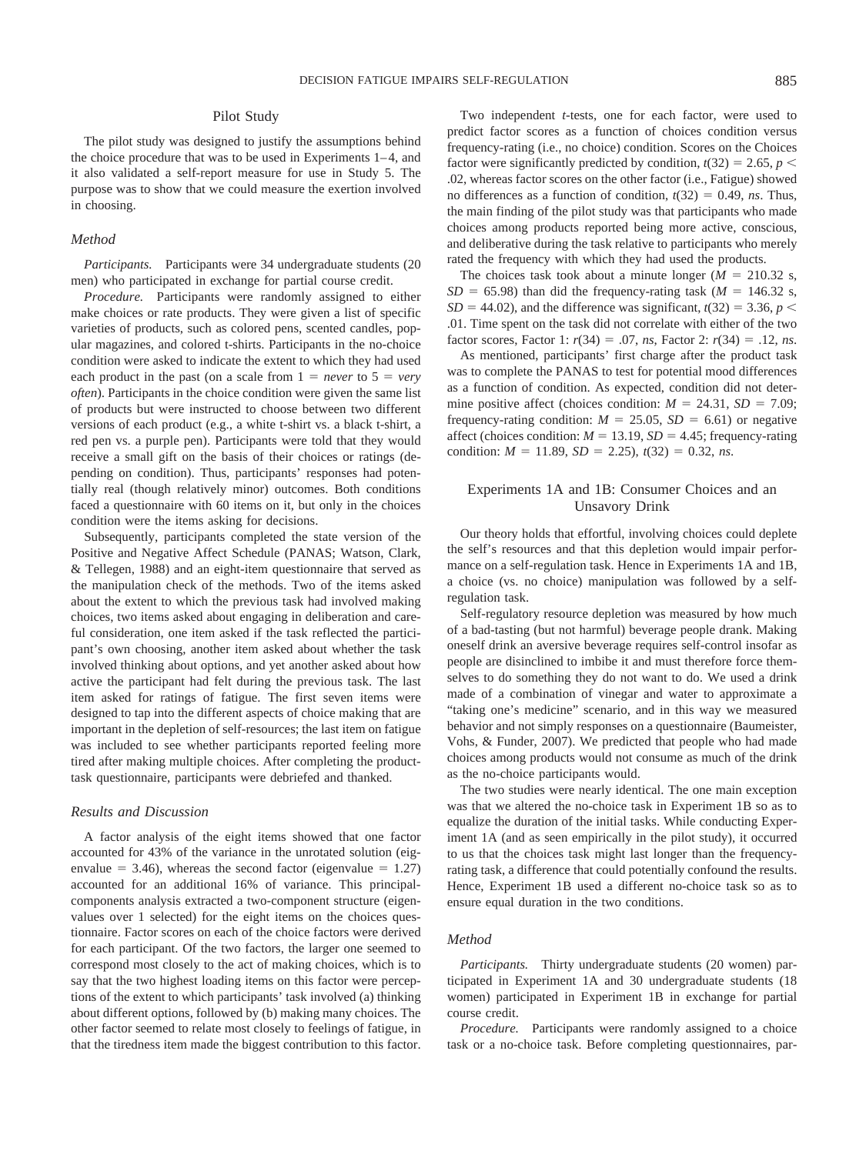#### Pilot Study

The pilot study was designed to justify the assumptions behind the choice procedure that was to be used in Experiments 1– 4, and it also validated a self-report measure for use in Study 5. The purpose was to show that we could measure the exertion involved in choosing.

## *Method*

*Participants.* Participants were 34 undergraduate students (20 men) who participated in exchange for partial course credit.

*Procedure.* Participants were randomly assigned to either make choices or rate products. They were given a list of specific varieties of products, such as colored pens, scented candles, popular magazines, and colored t-shirts. Participants in the no-choice condition were asked to indicate the extent to which they had used each product in the past (on a scale from  $1 = never$  to  $5 = very$ *often*). Participants in the choice condition were given the same list of products but were instructed to choose between two different versions of each product (e.g., a white t-shirt vs. a black t-shirt, a red pen vs. a purple pen). Participants were told that they would receive a small gift on the basis of their choices or ratings (depending on condition). Thus, participants' responses had potentially real (though relatively minor) outcomes. Both conditions faced a questionnaire with 60 items on it, but only in the choices condition were the items asking for decisions.

Subsequently, participants completed the state version of the Positive and Negative Affect Schedule (PANAS; Watson, Clark, & Tellegen, 1988) and an eight-item questionnaire that served as the manipulation check of the methods. Two of the items asked about the extent to which the previous task had involved making choices, two items asked about engaging in deliberation and careful consideration, one item asked if the task reflected the participant's own choosing, another item asked about whether the task involved thinking about options, and yet another asked about how active the participant had felt during the previous task. The last item asked for ratings of fatigue. The first seven items were designed to tap into the different aspects of choice making that are important in the depletion of self-resources; the last item on fatigue was included to see whether participants reported feeling more tired after making multiple choices. After completing the producttask questionnaire, participants were debriefed and thanked.

#### *Results and Discussion*

A factor analysis of the eight items showed that one factor accounted for 43% of the variance in the unrotated solution (eigenvalue  $= 3.46$ ), whereas the second factor (eigenvalue  $= 1.27$ ) accounted for an additional 16% of variance. This principalcomponents analysis extracted a two-component structure (eigenvalues over 1 selected) for the eight items on the choices questionnaire. Factor scores on each of the choice factors were derived for each participant. Of the two factors, the larger one seemed to correspond most closely to the act of making choices, which is to say that the two highest loading items on this factor were perceptions of the extent to which participants' task involved (a) thinking about different options, followed by (b) making many choices. The other factor seemed to relate most closely to feelings of fatigue, in that the tiredness item made the biggest contribution to this factor.

Two independent *t*-tests, one for each factor, were used to predict factor scores as a function of choices condition versus frequency-rating (i.e., no choice) condition. Scores on the Choices factor were significantly predicted by condition,  $t(32) = 2.65$ ,  $p <$ .02, whereas factor scores on the other factor (i.e., Fatigue) showed no differences as a function of condition,  $t(32) = 0.49$ , *ns*. Thus, the main finding of the pilot study was that participants who made choices among products reported being more active, conscious, and deliberative during the task relative to participants who merely rated the frequency with which they had used the products.

The choices task took about a minute longer ( $M = 210.32$  s,  $SD = 65.98$ ) than did the frequency-rating task ( $M = 146.32$  s,  $SD = 44.02$ ), and the difference was significant,  $t(32) = 3.36$ ,  $p <$ .01. Time spent on the task did not correlate with either of the two factor scores, Factor 1:  $r(34) = .07$ , *ns*, Factor 2:  $r(34) = .12$ , *ns*.

As mentioned, participants' first charge after the product task was to complete the PANAS to test for potential mood differences as a function of condition. As expected, condition did not determine positive affect (choices condition:  $M = 24.31$ ,  $SD = 7.09$ ; frequency-rating condition:  $M = 25.05$ ,  $SD = 6.61$ ) or negative affect (choices condition:  $M = 13.19$ ,  $SD = 4.45$ ; frequency-rating condition:  $M = 11.89$ ,  $SD = 2.25$ ),  $t(32) = 0.32$ , *ns*.

## Experiments 1A and 1B: Consumer Choices and an Unsavory Drink

Our theory holds that effortful, involving choices could deplete the self's resources and that this depletion would impair performance on a self-regulation task. Hence in Experiments 1A and 1B, a choice (vs. no choice) manipulation was followed by a selfregulation task.

Self-regulatory resource depletion was measured by how much of a bad-tasting (but not harmful) beverage people drank. Making oneself drink an aversive beverage requires self-control insofar as people are disinclined to imbibe it and must therefore force themselves to do something they do not want to do. We used a drink made of a combination of vinegar and water to approximate a "taking one's medicine" scenario, and in this way we measured behavior and not simply responses on a questionnaire (Baumeister, Vohs, & Funder, 2007). We predicted that people who had made choices among products would not consume as much of the drink as the no-choice participants would.

The two studies were nearly identical. The one main exception was that we altered the no-choice task in Experiment 1B so as to equalize the duration of the initial tasks. While conducting Experiment 1A (and as seen empirically in the pilot study), it occurred to us that the choices task might last longer than the frequencyrating task, a difference that could potentially confound the results. Hence, Experiment 1B used a different no-choice task so as to ensure equal duration in the two conditions.

#### *Method*

*Participants.* Thirty undergraduate students (20 women) participated in Experiment 1A and 30 undergraduate students (18 women) participated in Experiment 1B in exchange for partial course credit.

*Procedure.* Participants were randomly assigned to a choice task or a no-choice task. Before completing questionnaires, par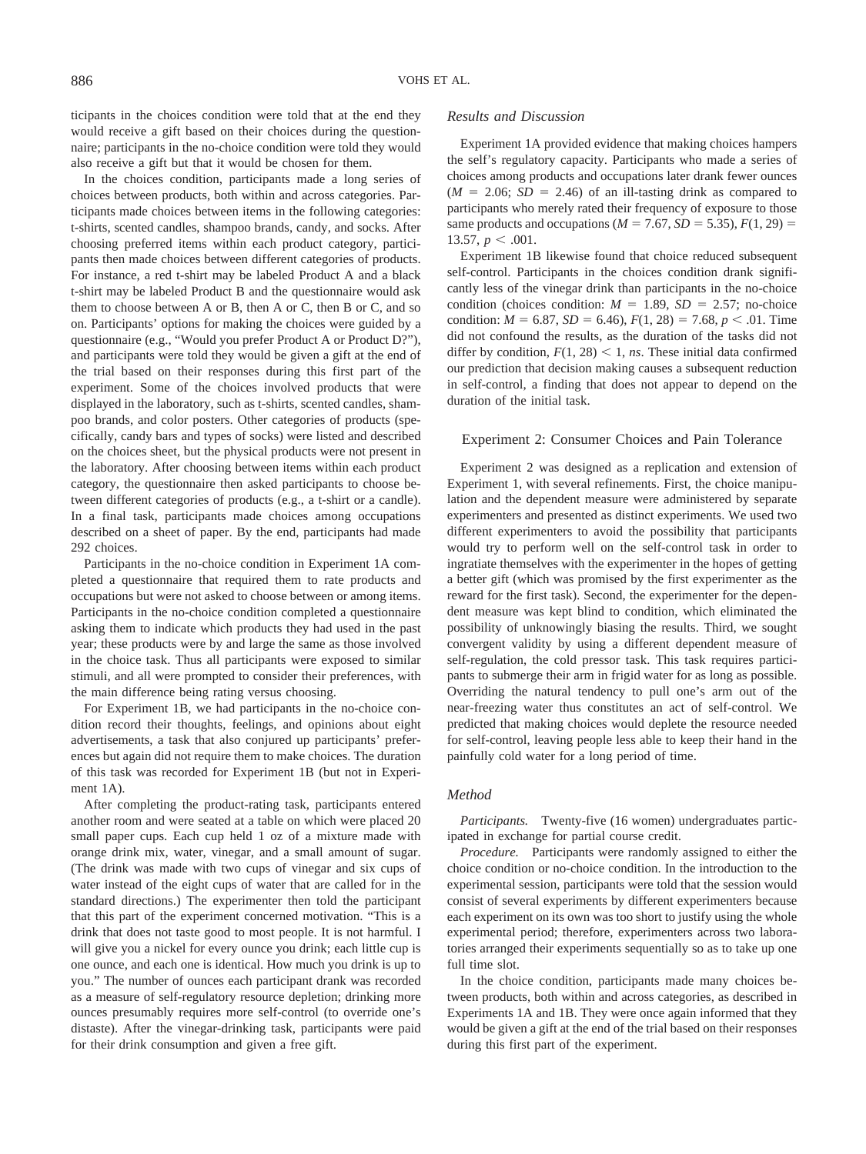ticipants in the choices condition were told that at the end they would receive a gift based on their choices during the questionnaire; participants in the no-choice condition were told they would also receive a gift but that it would be chosen for them.

In the choices condition, participants made a long series of choices between products, both within and across categories. Participants made choices between items in the following categories: t-shirts, scented candles, shampoo brands, candy, and socks. After choosing preferred items within each product category, participants then made choices between different categories of products. For instance, a red t-shirt may be labeled Product A and a black t-shirt may be labeled Product B and the questionnaire would ask them to choose between A or B, then A or C, then B or C, and so on. Participants' options for making the choices were guided by a questionnaire (e.g., "Would you prefer Product A or Product D?"), and participants were told they would be given a gift at the end of the trial based on their responses during this first part of the experiment. Some of the choices involved products that were displayed in the laboratory, such as t-shirts, scented candles, shampoo brands, and color posters. Other categories of products (specifically, candy bars and types of socks) were listed and described on the choices sheet, but the physical products were not present in the laboratory. After choosing between items within each product category, the questionnaire then asked participants to choose between different categories of products (e.g., a t-shirt or a candle). In a final task, participants made choices among occupations described on a sheet of paper. By the end, participants had made 292 choices.

Participants in the no-choice condition in Experiment 1A completed a questionnaire that required them to rate products and occupations but were not asked to choose between or among items. Participants in the no-choice condition completed a questionnaire asking them to indicate which products they had used in the past year; these products were by and large the same as those involved in the choice task. Thus all participants were exposed to similar stimuli, and all were prompted to consider their preferences, with the main difference being rating versus choosing.

For Experiment 1B, we had participants in the no-choice condition record their thoughts, feelings, and opinions about eight advertisements, a task that also conjured up participants' preferences but again did not require them to make choices. The duration of this task was recorded for Experiment 1B (but not in Experiment 1A).

After completing the product-rating task, participants entered another room and were seated at a table on which were placed 20 small paper cups. Each cup held 1 oz of a mixture made with orange drink mix, water, vinegar, and a small amount of sugar. (The drink was made with two cups of vinegar and six cups of water instead of the eight cups of water that are called for in the standard directions.) The experimenter then told the participant that this part of the experiment concerned motivation. "This is a drink that does not taste good to most people. It is not harmful. I will give you a nickel for every ounce you drink; each little cup is one ounce, and each one is identical. How much you drink is up to you." The number of ounces each participant drank was recorded as a measure of self-regulatory resource depletion; drinking more ounces presumably requires more self-control (to override one's distaste). After the vinegar-drinking task, participants were paid for their drink consumption and given a free gift.

#### *Results and Discussion*

Experiment 1A provided evidence that making choices hampers the self's regulatory capacity. Participants who made a series of choices among products and occupations later drank fewer ounces  $(M = 2.06; SD = 2.46)$  of an ill-tasting drink as compared to participants who merely rated their frequency of exposure to those same products and occupations ( $M = 7.67$ ,  $SD = 5.35$ ),  $F(1, 29) =$ 13.57,  $p < .001$ .

Experiment 1B likewise found that choice reduced subsequent self-control. Participants in the choices condition drank significantly less of the vinegar drink than participants in the no-choice condition (choices condition:  $M = 1.89$ ,  $SD = 2.57$ ; no-choice condition:  $M = 6.87$ ,  $SD = 6.46$ ,  $F(1, 28) = 7.68$ ,  $p < .01$ . Time did not confound the results, as the duration of the tasks did not differ by condition,  $F(1, 28) \le 1$ , *ns*. These initial data confirmed our prediction that decision making causes a subsequent reduction in self-control, a finding that does not appear to depend on the duration of the initial task.

#### Experiment 2: Consumer Choices and Pain Tolerance

Experiment 2 was designed as a replication and extension of Experiment 1, with several refinements. First, the choice manipulation and the dependent measure were administered by separate experimenters and presented as distinct experiments. We used two different experimenters to avoid the possibility that participants would try to perform well on the self-control task in order to ingratiate themselves with the experimenter in the hopes of getting a better gift (which was promised by the first experimenter as the reward for the first task). Second, the experimenter for the dependent measure was kept blind to condition, which eliminated the possibility of unknowingly biasing the results. Third, we sought convergent validity by using a different dependent measure of self-regulation, the cold pressor task. This task requires participants to submerge their arm in frigid water for as long as possible. Overriding the natural tendency to pull one's arm out of the near-freezing water thus constitutes an act of self-control. We predicted that making choices would deplete the resource needed for self-control, leaving people less able to keep their hand in the painfully cold water for a long period of time.

#### *Method*

*Participants.* Twenty-five (16 women) undergraduates participated in exchange for partial course credit.

*Procedure.* Participants were randomly assigned to either the choice condition or no-choice condition. In the introduction to the experimental session, participants were told that the session would consist of several experiments by different experimenters because each experiment on its own was too short to justify using the whole experimental period; therefore, experimenters across two laboratories arranged their experiments sequentially so as to take up one full time slot.

In the choice condition, participants made many choices between products, both within and across categories, as described in Experiments 1A and 1B. They were once again informed that they would be given a gift at the end of the trial based on their responses during this first part of the experiment.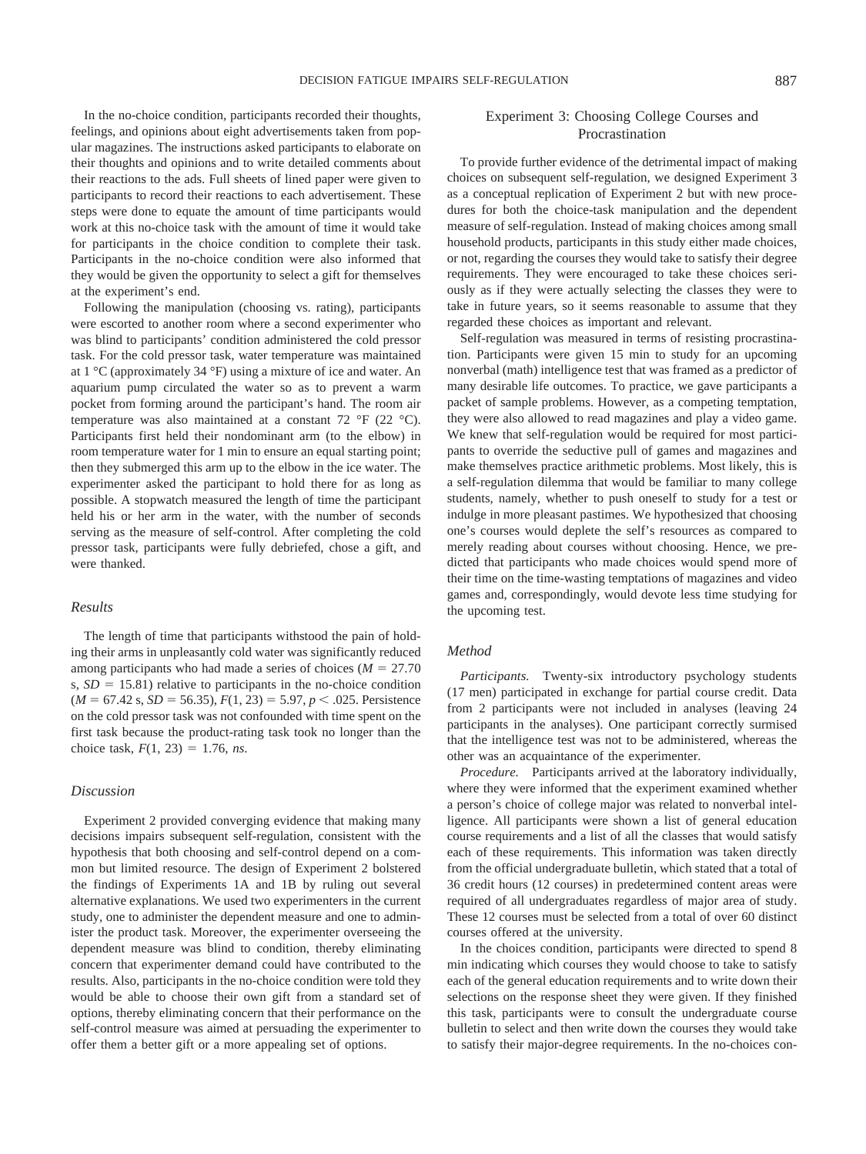In the no-choice condition, participants recorded their thoughts, feelings, and opinions about eight advertisements taken from popular magazines. The instructions asked participants to elaborate on their thoughts and opinions and to write detailed comments about their reactions to the ads. Full sheets of lined paper were given to participants to record their reactions to each advertisement. These steps were done to equate the amount of time participants would work at this no-choice task with the amount of time it would take for participants in the choice condition to complete their task. Participants in the no-choice condition were also informed that they would be given the opportunity to select a gift for themselves at the experiment's end.

Following the manipulation (choosing vs. rating), participants were escorted to another room where a second experimenter who was blind to participants' condition administered the cold pressor task. For the cold pressor task, water temperature was maintained at 1 °C (approximately 34 °F) using a mixture of ice and water. An aquarium pump circulated the water so as to prevent a warm pocket from forming around the participant's hand. The room air temperature was also maintained at a constant 72 °F (22 °C). Participants first held their nondominant arm (to the elbow) in room temperature water for 1 min to ensure an equal starting point; then they submerged this arm up to the elbow in the ice water. The experimenter asked the participant to hold there for as long as possible. A stopwatch measured the length of time the participant held his or her arm in the water, with the number of seconds serving as the measure of self-control. After completing the cold pressor task, participants were fully debriefed, chose a gift, and were thanked.

#### *Results*

The length of time that participants withstood the pain of holding their arms in unpleasantly cold water was significantly reduced among participants who had made a series of choices  $(M = 27.70)$ s,  $SD = 15.81$ ) relative to participants in the no-choice condition  $(M = 67.42 \text{ s}, SD = 56.35), F(1, 23) = 5.97, p < .025$ . Persistence on the cold pressor task was not confounded with time spent on the first task because the product-rating task took no longer than the choice task,  $F(1, 23) = 1.76$ , *ns*.

#### *Discussion*

Experiment 2 provided converging evidence that making many decisions impairs subsequent self-regulation, consistent with the hypothesis that both choosing and self-control depend on a common but limited resource. The design of Experiment 2 bolstered the findings of Experiments 1A and 1B by ruling out several alternative explanations. We used two experimenters in the current study, one to administer the dependent measure and one to administer the product task. Moreover, the experimenter overseeing the dependent measure was blind to condition, thereby eliminating concern that experimenter demand could have contributed to the results. Also, participants in the no-choice condition were told they would be able to choose their own gift from a standard set of options, thereby eliminating concern that their performance on the self-control measure was aimed at persuading the experimenter to offer them a better gift or a more appealing set of options.

## Experiment 3: Choosing College Courses and Procrastination

To provide further evidence of the detrimental impact of making choices on subsequent self-regulation, we designed Experiment 3 as a conceptual replication of Experiment 2 but with new procedures for both the choice-task manipulation and the dependent measure of self-regulation. Instead of making choices among small household products, participants in this study either made choices, or not, regarding the courses they would take to satisfy their degree requirements. They were encouraged to take these choices seriously as if they were actually selecting the classes they were to take in future years, so it seems reasonable to assume that they regarded these choices as important and relevant.

Self-regulation was measured in terms of resisting procrastination. Participants were given 15 min to study for an upcoming nonverbal (math) intelligence test that was framed as a predictor of many desirable life outcomes. To practice, we gave participants a packet of sample problems. However, as a competing temptation, they were also allowed to read magazines and play a video game. We knew that self-regulation would be required for most participants to override the seductive pull of games and magazines and make themselves practice arithmetic problems. Most likely, this is a self-regulation dilemma that would be familiar to many college students, namely, whether to push oneself to study for a test or indulge in more pleasant pastimes. We hypothesized that choosing one's courses would deplete the self's resources as compared to merely reading about courses without choosing. Hence, we predicted that participants who made choices would spend more of their time on the time-wasting temptations of magazines and video games and, correspondingly, would devote less time studying for the upcoming test.

#### *Method*

*Participants.* Twenty-six introductory psychology students (17 men) participated in exchange for partial course credit. Data from 2 participants were not included in analyses (leaving 24 participants in the analyses). One participant correctly surmised that the intelligence test was not to be administered, whereas the other was an acquaintance of the experimenter.

*Procedure.* Participants arrived at the laboratory individually, where they were informed that the experiment examined whether a person's choice of college major was related to nonverbal intelligence. All participants were shown a list of general education course requirements and a list of all the classes that would satisfy each of these requirements. This information was taken directly from the official undergraduate bulletin, which stated that a total of 36 credit hours (12 courses) in predetermined content areas were required of all undergraduates regardless of major area of study. These 12 courses must be selected from a total of over 60 distinct courses offered at the university.

In the choices condition, participants were directed to spend 8 min indicating which courses they would choose to take to satisfy each of the general education requirements and to write down their selections on the response sheet they were given. If they finished this task, participants were to consult the undergraduate course bulletin to select and then write down the courses they would take to satisfy their major-degree requirements. In the no-choices con-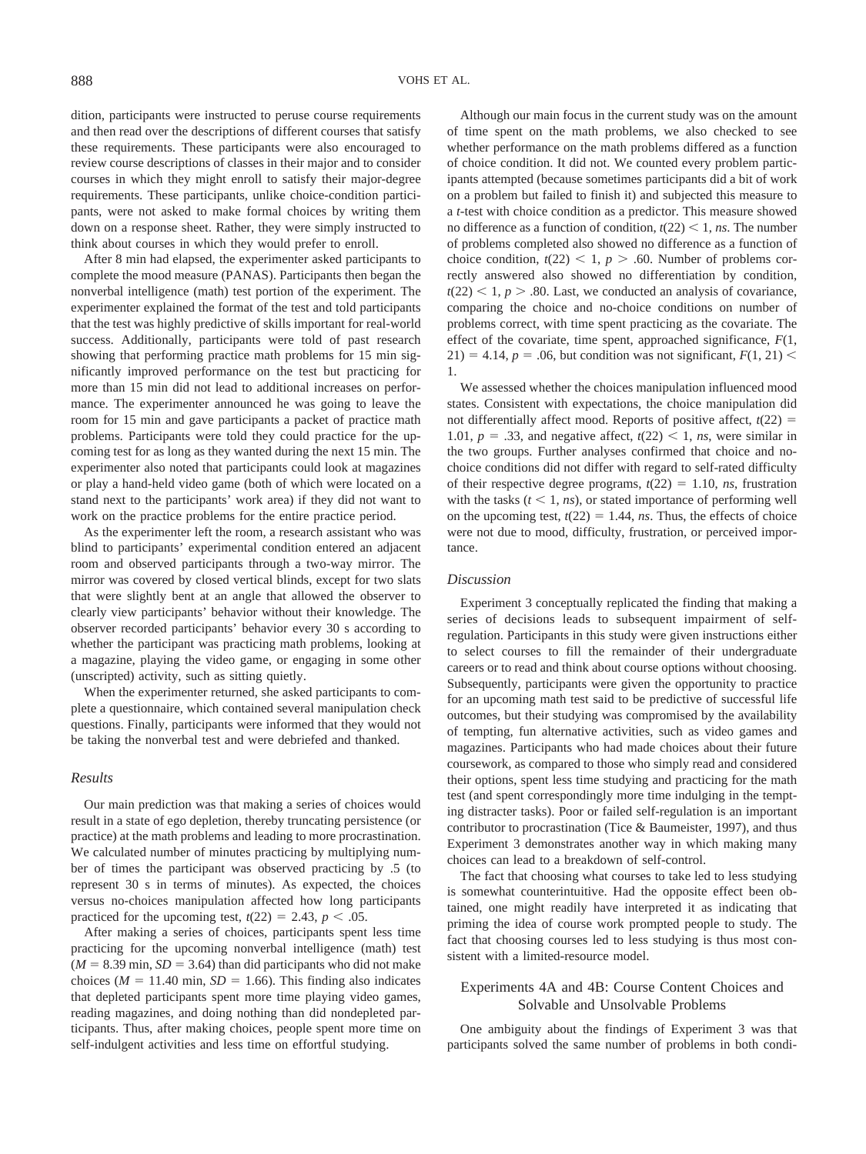dition, participants were instructed to peruse course requirements and then read over the descriptions of different courses that satisfy these requirements. These participants were also encouraged to review course descriptions of classes in their major and to consider courses in which they might enroll to satisfy their major-degree requirements. These participants, unlike choice-condition participants, were not asked to make formal choices by writing them down on a response sheet. Rather, they were simply instructed to think about courses in which they would prefer to enroll.

After 8 min had elapsed, the experimenter asked participants to complete the mood measure (PANAS). Participants then began the nonverbal intelligence (math) test portion of the experiment. The experimenter explained the format of the test and told participants that the test was highly predictive of skills important for real-world success. Additionally, participants were told of past research showing that performing practice math problems for 15 min significantly improved performance on the test but practicing for more than 15 min did not lead to additional increases on performance. The experimenter announced he was going to leave the room for 15 min and gave participants a packet of practice math problems. Participants were told they could practice for the upcoming test for as long as they wanted during the next 15 min. The experimenter also noted that participants could look at magazines or play a hand-held video game (both of which were located on a stand next to the participants' work area) if they did not want to work on the practice problems for the entire practice period.

As the experimenter left the room, a research assistant who was blind to participants' experimental condition entered an adjacent room and observed participants through a two-way mirror. The mirror was covered by closed vertical blinds, except for two slats that were slightly bent at an angle that allowed the observer to clearly view participants' behavior without their knowledge. The observer recorded participants' behavior every 30 s according to whether the participant was practicing math problems, looking at a magazine, playing the video game, or engaging in some other (unscripted) activity, such as sitting quietly.

When the experimenter returned, she asked participants to complete a questionnaire, which contained several manipulation check questions. Finally, participants were informed that they would not be taking the nonverbal test and were debriefed and thanked.

#### *Results*

Our main prediction was that making a series of choices would result in a state of ego depletion, thereby truncating persistence (or practice) at the math problems and leading to more procrastination. We calculated number of minutes practicing by multiplying number of times the participant was observed practicing by .5 (to represent 30 s in terms of minutes). As expected, the choices versus no-choices manipulation affected how long participants practiced for the upcoming test,  $t(22) = 2.43$ ,  $p < .05$ .

After making a series of choices, participants spent less time practicing for the upcoming nonverbal intelligence (math) test  $(M = 8.39 \text{ min}, SD = 3.64)$  than did participants who did not make choices ( $M = 11.40$  min,  $SD = 1.66$ ). This finding also indicates that depleted participants spent more time playing video games, reading magazines, and doing nothing than did nondepleted participants. Thus, after making choices, people spent more time on self-indulgent activities and less time on effortful studying.

Although our main focus in the current study was on the amount of time spent on the math problems, we also checked to see whether performance on the math problems differed as a function of choice condition. It did not. We counted every problem participants attempted (because sometimes participants did a bit of work on a problem but failed to finish it) and subjected this measure to a *t*-test with choice condition as a predictor. This measure showed no difference as a function of condition,  $t(22) \le 1$ , *ns*. The number of problems completed also showed no difference as a function of choice condition,  $t(22) < 1$ ,  $p > .60$ . Number of problems correctly answered also showed no differentiation by condition,  $t(22)$  < 1,  $p > .80$ . Last, we conducted an analysis of covariance, comparing the choice and no-choice conditions on number of problems correct, with time spent practicing as the covariate. The effect of the covariate, time spent, approached significance, *F*(1,  $21) = 4.14, p = .06$ , but condition was not significant,  $F(1, 21)$  < 1.

We assessed whether the choices manipulation influenced mood states. Consistent with expectations, the choice manipulation did not differentially affect mood. Reports of positive affect,  $t(22)$  = 1.01,  $p = .33$ , and negative affect,  $t(22) < 1$ , *ns*, were similar in the two groups. Further analyses confirmed that choice and nochoice conditions did not differ with regard to self-rated difficulty of their respective degree programs,  $t(22) = 1.10$ , *ns*, frustration with the tasks  $(t < 1, ns)$ , or stated importance of performing well on the upcoming test,  $t(22) = 1.44$ , *ns*. Thus, the effects of choice were not due to mood, difficulty, frustration, or perceived importance.

#### *Discussion*

Experiment 3 conceptually replicated the finding that making a series of decisions leads to subsequent impairment of selfregulation. Participants in this study were given instructions either to select courses to fill the remainder of their undergraduate careers or to read and think about course options without choosing. Subsequently, participants were given the opportunity to practice for an upcoming math test said to be predictive of successful life outcomes, but their studying was compromised by the availability of tempting, fun alternative activities, such as video games and magazines. Participants who had made choices about their future coursework, as compared to those who simply read and considered their options, spent less time studying and practicing for the math test (and spent correspondingly more time indulging in the tempting distracter tasks). Poor or failed self-regulation is an important contributor to procrastination (Tice & Baumeister, 1997), and thus Experiment 3 demonstrates another way in which making many choices can lead to a breakdown of self-control.

The fact that choosing what courses to take led to less studying is somewhat counterintuitive. Had the opposite effect been obtained, one might readily have interpreted it as indicating that priming the idea of course work prompted people to study. The fact that choosing courses led to less studying is thus most consistent with a limited-resource model.

#### Experiments 4A and 4B: Course Content Choices and Solvable and Unsolvable Problems

One ambiguity about the findings of Experiment 3 was that participants solved the same number of problems in both condi-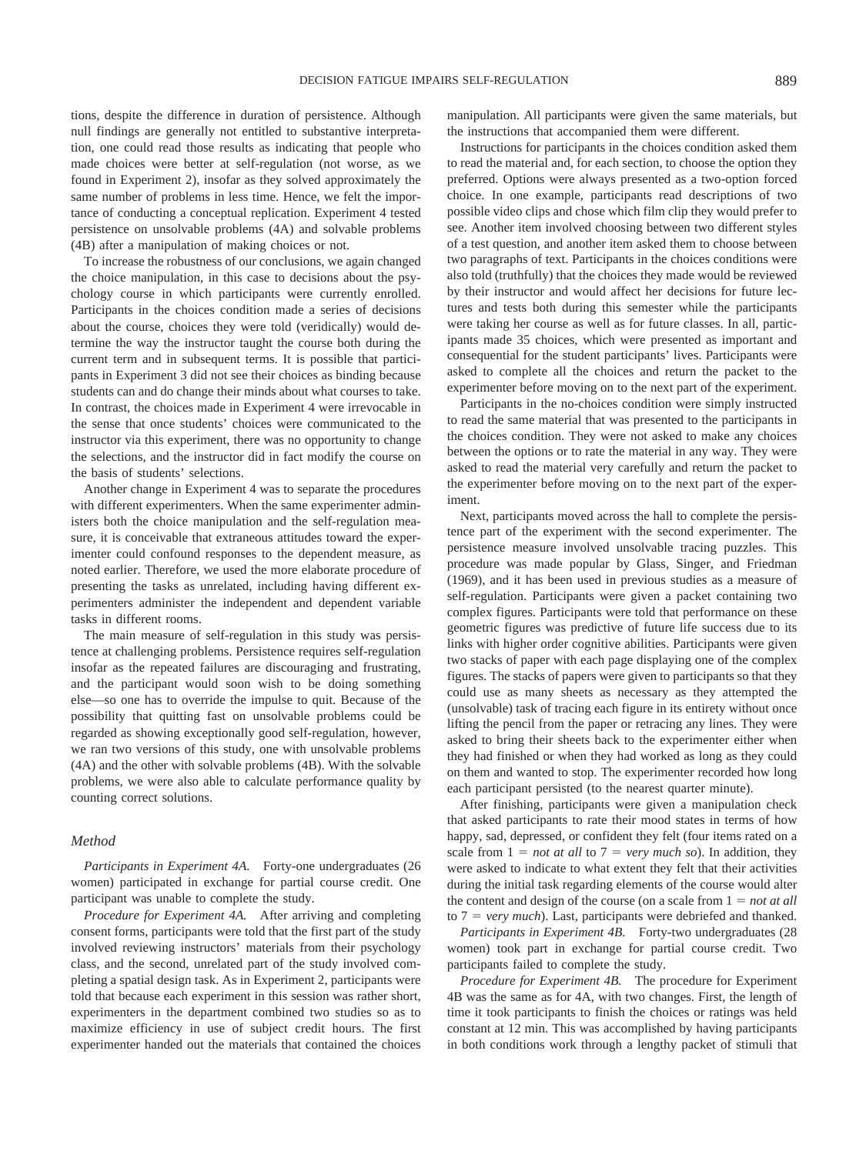tions, despite the difference in duration of persistence. Although null findings are generally not entitled to substantive interpretation, one could read those results as indicating that people who made choices were better at self-regulation (not worse, as we found in Experiment 2), insofar as they solved approximately the same number of problems in less time. Hence, we felt the importance of conducting a conceptual replication. Experiment 4 tested persistence on unsolvable problems (4A) and solvable problems (4B) after a manipulation of making choices or not.

To increase the robustness of our conclusions, we again changed the choice manipulation, in this case to decisions about the psychology course in which participants were currently enrolled. Participants in the choices condition made a series of decisions about the course, choices they were told (veridically) would determine the way the instructor taught the course both during the current term and in subsequent terms. It is possible that participants in Experiment 3 did not see their choices as binding because students can and do change their minds about what courses to take. In contrast, the choices made in Experiment 4 were irrevocable in the sense that once students' choices were communicated to the instructor via this experiment, there was no opportunity to change the selections, and the instructor did in fact modify the course on the basis of students' selections.

Another change in Experiment 4 was to separate the procedures with different experimenters. When the same experimenter administers both the choice manipulation and the self-regulation measure, it is conceivable that extraneous attitudes toward the experimenter could confound responses to the dependent measure, as noted earlier. Therefore, we used the more elaborate procedure of presenting the tasks as unrelated, including having different experimenters administer the independent and dependent variable tasks in different rooms.

The main measure of self-regulation in this study was persistence at challenging problems. Persistence requires self-regulation insofar as the repeated failures are discouraging and frustrating, and the participant would soon wish to be doing something else—so one has to override the impulse to quit. Because of the possibility that quitting fast on unsolvable problems could be regarded as showing exceptionally good self-regulation, however, we ran two versions of this study, one with unsolvable problems (4A) and the other with solvable problems (4B). With the solvable problems, we were also able to calculate performance quality by counting correct solutions.

#### *Method*

*Participants in Experiment 4A.* Forty-one undergraduates (26 women) participated in exchange for partial course credit. One participant was unable to complete the study.

*Procedure for Experiment 4A.* After arriving and completing consent forms, participants were told that the first part of the study involved reviewing instructors' materials from their psychology class, and the second, unrelated part of the study involved completing a spatial design task. As in Experiment 2, participants were told that because each experiment in this session was rather short, experimenters in the department combined two studies so as to maximize efficiency in use of subject credit hours. The first experimenter handed out the materials that contained the choices manipulation. All participants were given the same materials, but the instructions that accompanied them were different.

Instructions for participants in the choices condition asked them to read the material and, for each section, to choose the option they preferred. Options were always presented as a two-option forced choice. In one example, participants read descriptions of two possible video clips and chose which film clip they would prefer to see. Another item involved choosing between two different styles of a test question, and another item asked them to choose between two paragraphs of text. Participants in the choices conditions were also told (truthfully) that the choices they made would be reviewed by their instructor and would affect her decisions for future lectures and tests both during this semester while the participants were taking her course as well as for future classes. In all, participants made 35 choices, which were presented as important and consequential for the student participants' lives. Participants were asked to complete all the choices and return the packet to the experimenter before moving on to the next part of the experiment.

Participants in the no-choices condition were simply instructed to read the same material that was presented to the participants in the choices condition. They were not asked to make any choices between the options or to rate the material in any way. They were asked to read the material very carefully and return the packet to the experimenter before moving on to the next part of the experiment.

Next, participants moved across the hall to complete the persistence part of the experiment with the second experimenter. The persistence measure involved unsolvable tracing puzzles. This procedure was made popular by Glass, Singer, and Friedman (1969), and it has been used in previous studies as a measure of self-regulation. Participants were given a packet containing two complex figures. Participants were told that performance on these geometric figures was predictive of future life success due to its links with higher order cognitive abilities. Participants were given two stacks of paper with each page displaying one of the complex figures. The stacks of papers were given to participants so that they could use as many sheets as necessary as they attempted the (unsolvable) task of tracing each figure in its entirety without once lifting the pencil from the paper or retracing any lines. They were asked to bring their sheets back to the experimenter either when they had finished or when they had worked as long as they could on them and wanted to stop. The experimenter recorded how long each participant persisted (to the nearest quarter minute).

After finishing, participants were given a manipulation check that asked participants to rate their mood states in terms of how happy, sad, depressed, or confident they felt (four items rated on a scale from  $1 = not$  *at all* to  $7 = very$  *nuch so*). In addition, they were asked to indicate to what extent they felt that their activities during the initial task regarding elements of the course would alter the content and design of the course (on a scale from  $1 = not at all$ ) to  $7 = very much$ ). Last, participants were debriefed and thanked.

*Participants in Experiment 4B.* Forty-two undergraduates (28 women) took part in exchange for partial course credit. Two participants failed to complete the study.

*Procedure for Experiment 4B.* The procedure for Experiment 4B was the same as for 4A, with two changes. First, the length of time it took participants to finish the choices or ratings was held constant at 12 min. This was accomplished by having participants in both conditions work through a lengthy packet of stimuli that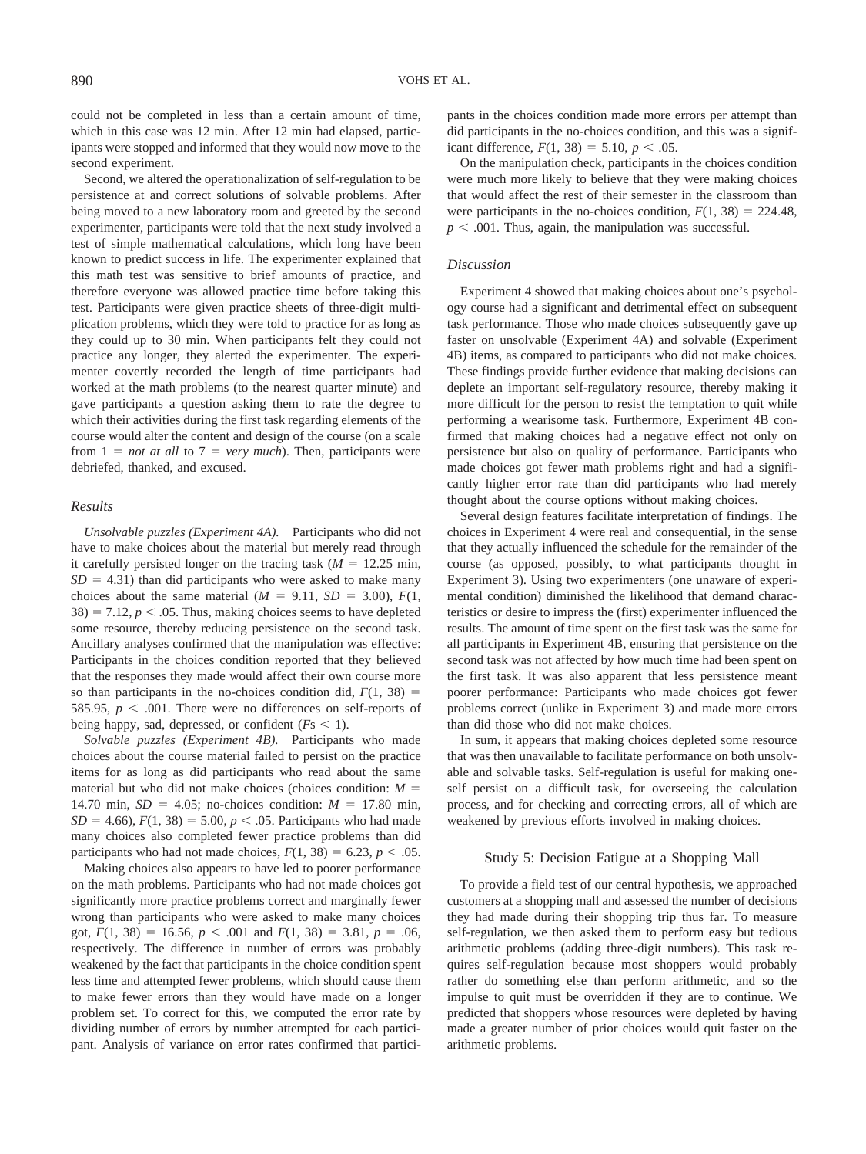could not be completed in less than a certain amount of time, which in this case was 12 min. After 12 min had elapsed, participants were stopped and informed that they would now move to the second experiment.

Second, we altered the operationalization of self-regulation to be persistence at and correct solutions of solvable problems. After being moved to a new laboratory room and greeted by the second experimenter, participants were told that the next study involved a test of simple mathematical calculations, which long have been known to predict success in life. The experimenter explained that this math test was sensitive to brief amounts of practice, and therefore everyone was allowed practice time before taking this test. Participants were given practice sheets of three-digit multiplication problems, which they were told to practice for as long as they could up to 30 min. When participants felt they could not practice any longer, they alerted the experimenter. The experimenter covertly recorded the length of time participants had worked at the math problems (to the nearest quarter minute) and gave participants a question asking them to rate the degree to which their activities during the first task regarding elements of the course would alter the content and design of the course (on a scale from  $1 = not at all to 7 = very much$ . Then, participants were debriefed, thanked, and excused.

#### *Results*

*Unsolvable puzzles (Experiment 4A).* Participants who did not have to make choices about the material but merely read through it carefully persisted longer on the tracing task  $(M = 12.25 \text{ min})$ ,  $SD = 4.31$ ) than did participants who were asked to make many choices about the same material  $(M = 9.11, SD = 3.00), F(1,$  $38$ ) = 7.12,  $p$  < .05. Thus, making choices seems to have depleted some resource, thereby reducing persistence on the second task. Ancillary analyses confirmed that the manipulation was effective: Participants in the choices condition reported that they believed that the responses they made would affect their own course more so than participants in the no-choices condition did,  $F(1, 38) =$ 585.95,  $p < .001$ . There were no differences on self-reports of being happy, sad, depressed, or confident  $(Fs \leq 1)$ .

*Solvable puzzles (Experiment 4B).* Participants who made choices about the course material failed to persist on the practice items for as long as did participants who read about the same material but who did not make choices (choices condition: *M* 14.70 min,  $SD = 4.05$ ; no-choices condition:  $M = 17.80$  min,  $SD = 4.66$ ,  $F(1, 38) = 5.00$ ,  $p < .05$ . Participants who had made many choices also completed fewer practice problems than did participants who had not made choices,  $F(1, 38) = 6.23$ ,  $p < .05$ .

Making choices also appears to have led to poorer performance on the math problems. Participants who had not made choices got significantly more practice problems correct and marginally fewer wrong than participants who were asked to make many choices got,  $F(1, 38) = 16.56$ ,  $p < .001$  and  $F(1, 38) = 3.81$ ,  $p = .06$ , respectively. The difference in number of errors was probably weakened by the fact that participants in the choice condition spent less time and attempted fewer problems, which should cause them to make fewer errors than they would have made on a longer problem set. To correct for this, we computed the error rate by dividing number of errors by number attempted for each participant. Analysis of variance on error rates confirmed that participants in the choices condition made more errors per attempt than did participants in the no-choices condition, and this was a significant difference,  $F(1, 38) = 5.10, p < .05$ .

On the manipulation check, participants in the choices condition were much more likely to believe that they were making choices that would affect the rest of their semester in the classroom than were participants in the no-choices condition,  $F(1, 38) = 224.48$ ,  $p < .001$ . Thus, again, the manipulation was successful.

#### *Discussion*

Experiment 4 showed that making choices about one's psychology course had a significant and detrimental effect on subsequent task performance. Those who made choices subsequently gave up faster on unsolvable (Experiment 4A) and solvable (Experiment 4B) items, as compared to participants who did not make choices. These findings provide further evidence that making decisions can deplete an important self-regulatory resource, thereby making it more difficult for the person to resist the temptation to quit while performing a wearisome task. Furthermore, Experiment 4B confirmed that making choices had a negative effect not only on persistence but also on quality of performance. Participants who made choices got fewer math problems right and had a significantly higher error rate than did participants who had merely thought about the course options without making choices.

Several design features facilitate interpretation of findings. The choices in Experiment 4 were real and consequential, in the sense that they actually influenced the schedule for the remainder of the course (as opposed, possibly, to what participants thought in Experiment 3). Using two experimenters (one unaware of experimental condition) diminished the likelihood that demand characteristics or desire to impress the (first) experimenter influenced the results. The amount of time spent on the first task was the same for all participants in Experiment 4B, ensuring that persistence on the second task was not affected by how much time had been spent on the first task. It was also apparent that less persistence meant poorer performance: Participants who made choices got fewer problems correct (unlike in Experiment 3) and made more errors than did those who did not make choices.

In sum, it appears that making choices depleted some resource that was then unavailable to facilitate performance on both unsolvable and solvable tasks. Self-regulation is useful for making oneself persist on a difficult task, for overseeing the calculation process, and for checking and correcting errors, all of which are weakened by previous efforts involved in making choices.

#### Study 5: Decision Fatigue at a Shopping Mall

To provide a field test of our central hypothesis, we approached customers at a shopping mall and assessed the number of decisions they had made during their shopping trip thus far. To measure self-regulation, we then asked them to perform easy but tedious arithmetic problems (adding three-digit numbers). This task requires self-regulation because most shoppers would probably rather do something else than perform arithmetic, and so the impulse to quit must be overridden if they are to continue. We predicted that shoppers whose resources were depleted by having made a greater number of prior choices would quit faster on the arithmetic problems.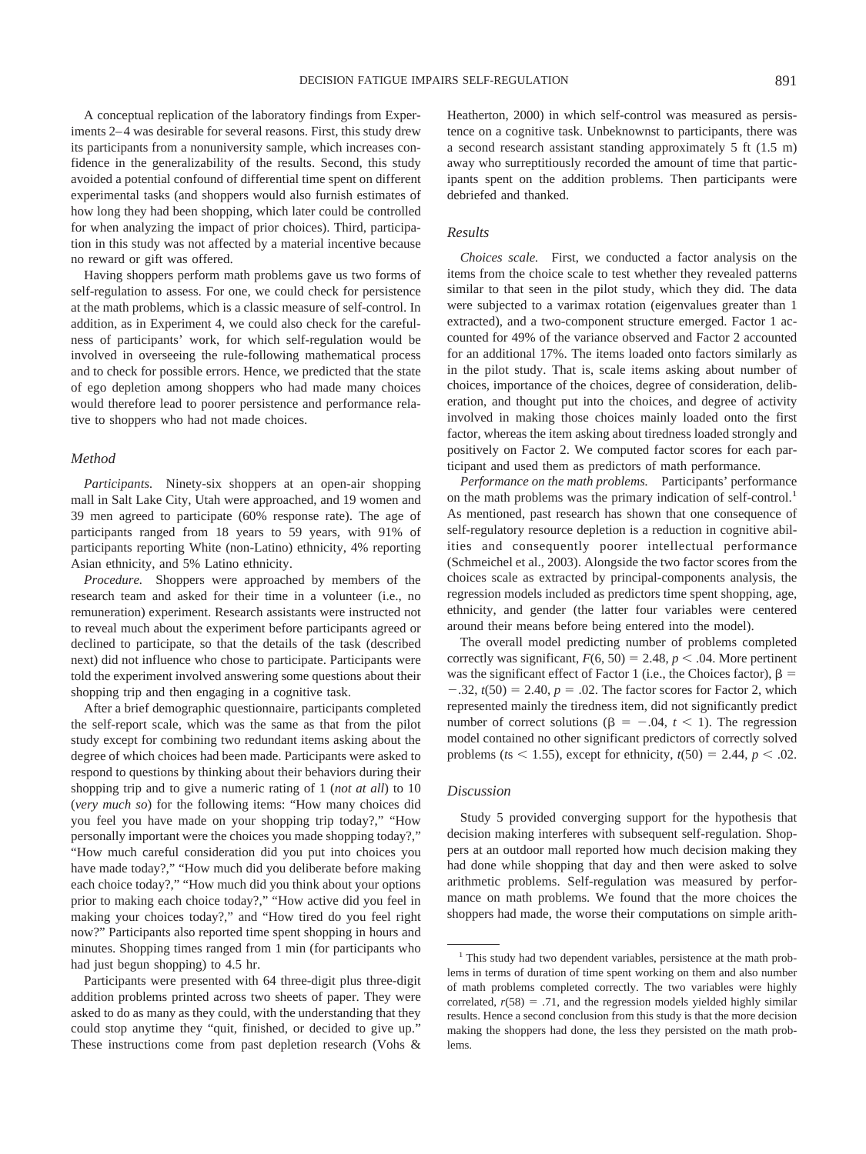A conceptual replication of the laboratory findings from Experiments 2–4 was desirable for several reasons. First, this study drew its participants from a nonuniversity sample, which increases confidence in the generalizability of the results. Second, this study avoided a potential confound of differential time spent on different experimental tasks (and shoppers would also furnish estimates of how long they had been shopping, which later could be controlled for when analyzing the impact of prior choices). Third, participation in this study was not affected by a material incentive because no reward or gift was offered.

Having shoppers perform math problems gave us two forms of self-regulation to assess. For one, we could check for persistence at the math problems, which is a classic measure of self-control. In addition, as in Experiment 4, we could also check for the carefulness of participants' work, for which self-regulation would be involved in overseeing the rule-following mathematical process and to check for possible errors. Hence, we predicted that the state of ego depletion among shoppers who had made many choices would therefore lead to poorer persistence and performance relative to shoppers who had not made choices.

#### *Method*

*Participants.* Ninety-six shoppers at an open-air shopping mall in Salt Lake City, Utah were approached, and 19 women and 39 men agreed to participate (60% response rate). The age of participants ranged from 18 years to 59 years, with 91% of participants reporting White (non-Latino) ethnicity, 4% reporting Asian ethnicity, and 5% Latino ethnicity.

*Procedure.* Shoppers were approached by members of the research team and asked for their time in a volunteer (i.e., no remuneration) experiment. Research assistants were instructed not to reveal much about the experiment before participants agreed or declined to participate, so that the details of the task (described next) did not influence who chose to participate. Participants were told the experiment involved answering some questions about their shopping trip and then engaging in a cognitive task.

After a brief demographic questionnaire, participants completed the self-report scale, which was the same as that from the pilot study except for combining two redundant items asking about the degree of which choices had been made. Participants were asked to respond to questions by thinking about their behaviors during their shopping trip and to give a numeric rating of 1 (*not at all*) to 10 (*very much so*) for the following items: "How many choices did you feel you have made on your shopping trip today?," "How personally important were the choices you made shopping today?," "How much careful consideration did you put into choices you have made today?," "How much did you deliberate before making each choice today?," "How much did you think about your options prior to making each choice today?," "How active did you feel in making your choices today?," and "How tired do you feel right now?" Participants also reported time spent shopping in hours and minutes. Shopping times ranged from 1 min (for participants who had just begun shopping) to 4.5 hr.

Participants were presented with 64 three-digit plus three-digit addition problems printed across two sheets of paper. They were asked to do as many as they could, with the understanding that they could stop anytime they "quit, finished, or decided to give up." These instructions come from past depletion research (Vohs & Heatherton, 2000) in which self-control was measured as persistence on a cognitive task. Unbeknownst to participants, there was a second research assistant standing approximately 5 ft (1.5 m) away who surreptitiously recorded the amount of time that participants spent on the addition problems. Then participants were debriefed and thanked.

## *Results*

*Choices scale.* First, we conducted a factor analysis on the items from the choice scale to test whether they revealed patterns similar to that seen in the pilot study, which they did. The data were subjected to a varimax rotation (eigenvalues greater than 1 extracted), and a two-component structure emerged. Factor 1 accounted for 49% of the variance observed and Factor 2 accounted for an additional 17%. The items loaded onto factors similarly as in the pilot study. That is, scale items asking about number of choices, importance of the choices, degree of consideration, deliberation, and thought put into the choices, and degree of activity involved in making those choices mainly loaded onto the first factor, whereas the item asking about tiredness loaded strongly and positively on Factor 2. We computed factor scores for each participant and used them as predictors of math performance.

*Performance on the math problems.* Participants' performance on the math problems was the primary indication of self-control.<sup>1</sup> As mentioned, past research has shown that one consequence of self-regulatory resource depletion is a reduction in cognitive abilities and consequently poorer intellectual performance (Schmeichel et al., 2003). Alongside the two factor scores from the choices scale as extracted by principal-components analysis, the regression models included as predictors time spent shopping, age, ethnicity, and gender (the latter four variables were centered around their means before being entered into the model).

The overall model predicting number of problems completed correctly was significant,  $F(6, 50) = 2.48$ ,  $p < .04$ . More pertinent was the significant effect of Factor 1 (i.e., the Choices factor),  $\beta$  =  $-32$ ,  $t(50) = 2.40$ ,  $p = 0.02$ . The factor scores for Factor 2, which represented mainly the tiredness item, did not significantly predict number of correct solutions ( $\beta = -.04$ ,  $t < 1$ ). The regression model contained no other significant predictors of correctly solved problems (*t*s  $\leq$  1.55), except for ethnicity, *t*(50) = 2.44, *p*  $\leq$  .02.

#### *Discussion*

Study 5 provided converging support for the hypothesis that decision making interferes with subsequent self-regulation. Shoppers at an outdoor mall reported how much decision making they had done while shopping that day and then were asked to solve arithmetic problems. Self-regulation was measured by performance on math problems. We found that the more choices the shoppers had made, the worse their computations on simple arith-

<sup>&</sup>lt;sup>1</sup> This study had two dependent variables, persistence at the math problems in terms of duration of time spent working on them and also number of math problems completed correctly. The two variables were highly correlated,  $r(58) = .71$ , and the regression models yielded highly similar results. Hence a second conclusion from this study is that the more decision making the shoppers had done, the less they persisted on the math problems.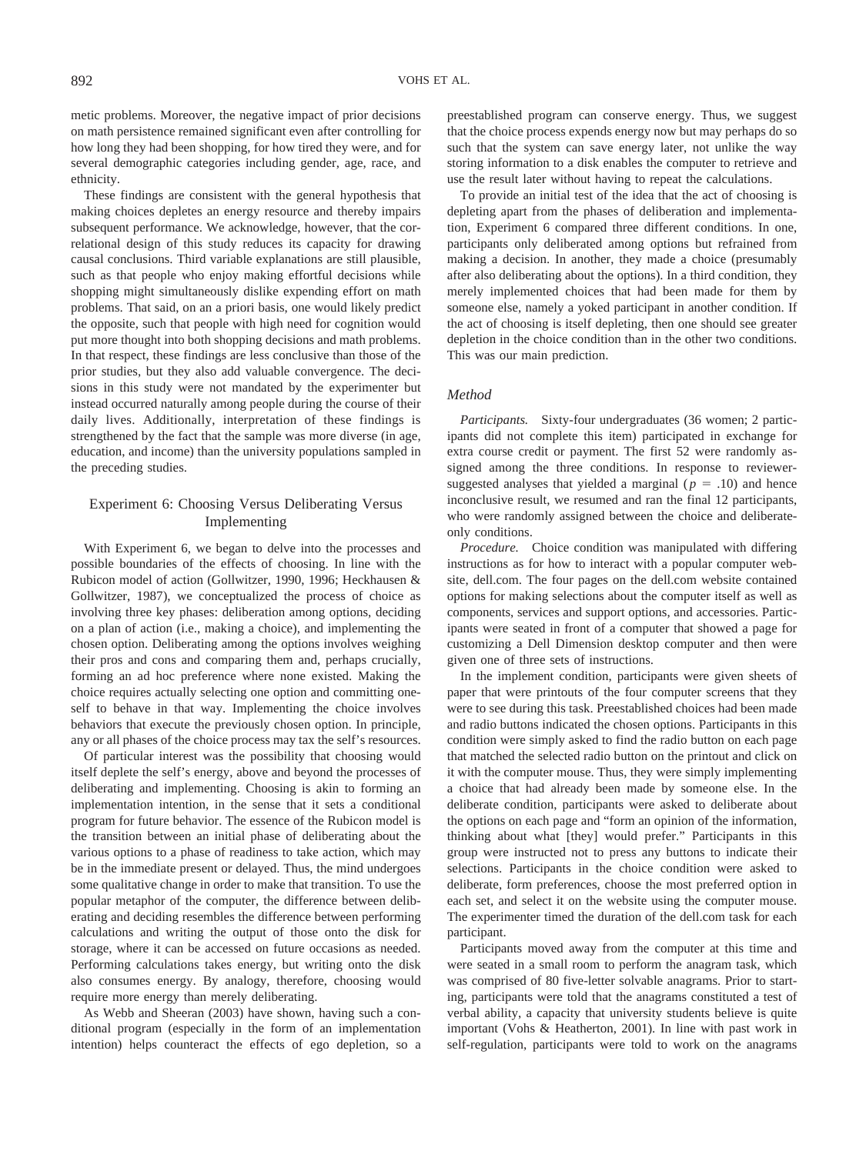metic problems. Moreover, the negative impact of prior decisions on math persistence remained significant even after controlling for how long they had been shopping, for how tired they were, and for several demographic categories including gender, age, race, and ethnicity.

These findings are consistent with the general hypothesis that making choices depletes an energy resource and thereby impairs subsequent performance. We acknowledge, however, that the correlational design of this study reduces its capacity for drawing causal conclusions. Third variable explanations are still plausible, such as that people who enjoy making effortful decisions while shopping might simultaneously dislike expending effort on math problems. That said, on an a priori basis, one would likely predict the opposite, such that people with high need for cognition would put more thought into both shopping decisions and math problems. In that respect, these findings are less conclusive than those of the prior studies, but they also add valuable convergence. The decisions in this study were not mandated by the experimenter but instead occurred naturally among people during the course of their daily lives. Additionally, interpretation of these findings is strengthened by the fact that the sample was more diverse (in age, education, and income) than the university populations sampled in the preceding studies.

## Experiment 6: Choosing Versus Deliberating Versus Implementing

With Experiment 6, we began to delve into the processes and possible boundaries of the effects of choosing. In line with the Rubicon model of action (Gollwitzer, 1990, 1996; Heckhausen & Gollwitzer, 1987), we conceptualized the process of choice as involving three key phases: deliberation among options, deciding on a plan of action (i.e., making a choice), and implementing the chosen option. Deliberating among the options involves weighing their pros and cons and comparing them and, perhaps crucially, forming an ad hoc preference where none existed. Making the choice requires actually selecting one option and committing oneself to behave in that way. Implementing the choice involves behaviors that execute the previously chosen option. In principle, any or all phases of the choice process may tax the self's resources.

Of particular interest was the possibility that choosing would itself deplete the self's energy, above and beyond the processes of deliberating and implementing. Choosing is akin to forming an implementation intention, in the sense that it sets a conditional program for future behavior. The essence of the Rubicon model is the transition between an initial phase of deliberating about the various options to a phase of readiness to take action, which may be in the immediate present or delayed. Thus, the mind undergoes some qualitative change in order to make that transition. To use the popular metaphor of the computer, the difference between deliberating and deciding resembles the difference between performing calculations and writing the output of those onto the disk for storage, where it can be accessed on future occasions as needed. Performing calculations takes energy, but writing onto the disk also consumes energy. By analogy, therefore, choosing would require more energy than merely deliberating.

As Webb and Sheeran (2003) have shown, having such a conditional program (especially in the form of an implementation intention) helps counteract the effects of ego depletion, so a preestablished program can conserve energy. Thus, we suggest that the choice process expends energy now but may perhaps do so such that the system can save energy later, not unlike the way storing information to a disk enables the computer to retrieve and use the result later without having to repeat the calculations.

To provide an initial test of the idea that the act of choosing is depleting apart from the phases of deliberation and implementation, Experiment 6 compared three different conditions. In one, participants only deliberated among options but refrained from making a decision. In another, they made a choice (presumably after also deliberating about the options). In a third condition, they merely implemented choices that had been made for them by someone else, namely a yoked participant in another condition. If the act of choosing is itself depleting, then one should see greater depletion in the choice condition than in the other two conditions. This was our main prediction.

## *Method*

*Participants.* Sixty-four undergraduates (36 women; 2 participants did not complete this item) participated in exchange for extra course credit or payment. The first 52 were randomly assigned among the three conditions. In response to reviewersuggested analyses that yielded a marginal ( $p = .10$ ) and hence inconclusive result, we resumed and ran the final 12 participants, who were randomly assigned between the choice and deliberateonly conditions.

*Procedure.* Choice condition was manipulated with differing instructions as for how to interact with a popular computer website, dell.com. The four pages on the dell.com website contained options for making selections about the computer itself as well as components, services and support options, and accessories. Participants were seated in front of a computer that showed a page for customizing a Dell Dimension desktop computer and then were given one of three sets of instructions.

In the implement condition, participants were given sheets of paper that were printouts of the four computer screens that they were to see during this task. Preestablished choices had been made and radio buttons indicated the chosen options. Participants in this condition were simply asked to find the radio button on each page that matched the selected radio button on the printout and click on it with the computer mouse. Thus, they were simply implementing a choice that had already been made by someone else. In the deliberate condition, participants were asked to deliberate about the options on each page and "form an opinion of the information, thinking about what [they] would prefer." Participants in this group were instructed not to press any buttons to indicate their selections. Participants in the choice condition were asked to deliberate, form preferences, choose the most preferred option in each set, and select it on the website using the computer mouse. The experimenter timed the duration of the dell.com task for each participant.

Participants moved away from the computer at this time and were seated in a small room to perform the anagram task, which was comprised of 80 five-letter solvable anagrams. Prior to starting, participants were told that the anagrams constituted a test of verbal ability, a capacity that university students believe is quite important (Vohs & Heatherton, 2001). In line with past work in self-regulation, participants were told to work on the anagrams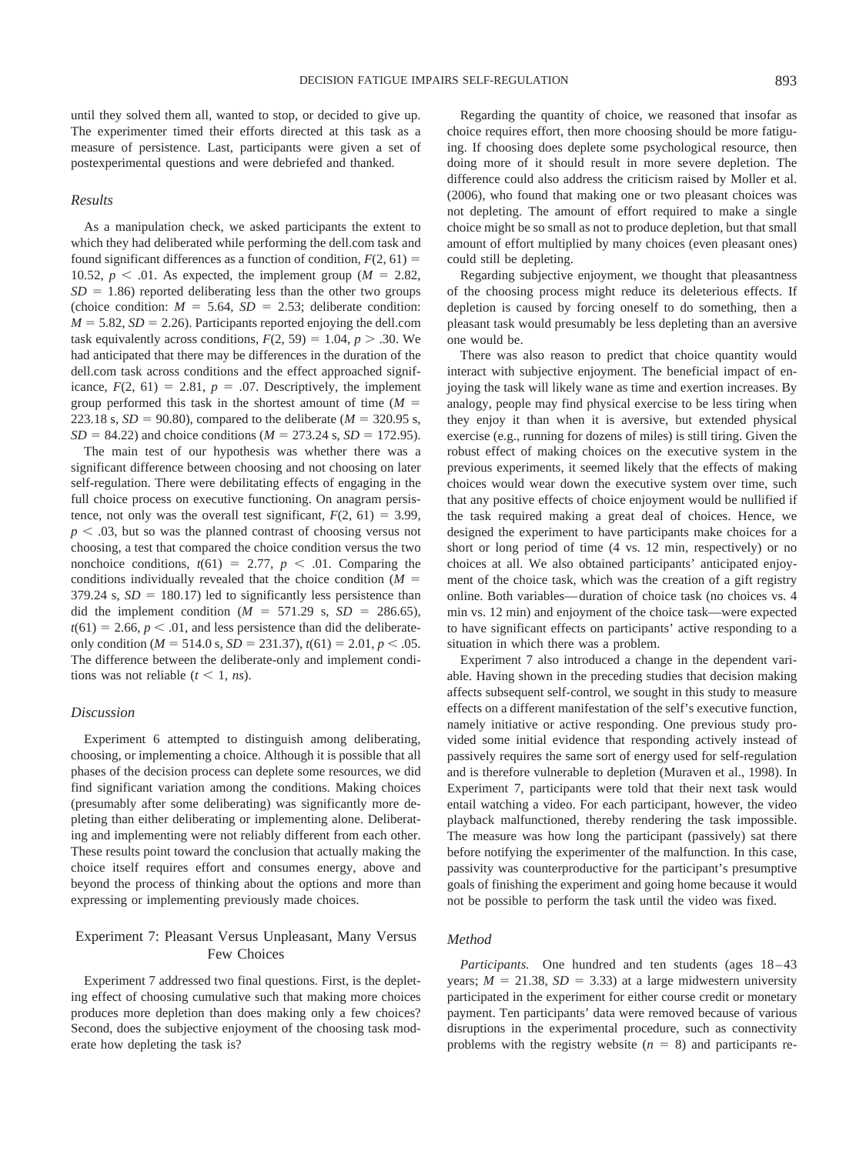until they solved them all, wanted to stop, or decided to give up. The experimenter timed their efforts directed at this task as a measure of persistence. Last, participants were given a set of postexperimental questions and were debriefed and thanked.

## *Results*

As a manipulation check, we asked participants the extent to which they had deliberated while performing the dell.com task and found significant differences as a function of condition,  $F(2, 61) =$ 10.52,  $p < .01$ . As expected, the implement group ( $M = 2.82$ ,  $SD = 1.86$ ) reported deliberating less than the other two groups (choice condition:  $M = 5.64$ ,  $SD = 2.53$ ; deliberate condition:  $M = 5.82$ ,  $SD = 2.26$ ). Participants reported enjoying the dell.com task equivalently across conditions,  $F(2, 59) = 1.04$ ,  $p > .30$ . We had anticipated that there may be differences in the duration of the dell.com task across conditions and the effect approached significance,  $F(2, 61) = 2.81$ ,  $p = .07$ . Descriptively, the implement group performed this task in the shortest amount of time  $(M =$ 223.18 s,  $SD = 90.80$ ), compared to the deliberate ( $M = 320.95$  s,  $SD = 84.22$ ) and choice conditions ( $M = 273.24$  s,  $SD = 172.95$ ).

The main test of our hypothesis was whether there was a significant difference between choosing and not choosing on later self-regulation. There were debilitating effects of engaging in the full choice process on executive functioning. On anagram persistence, not only was the overall test significant,  $F(2, 61) = 3.99$ ,  $p < .03$ , but so was the planned contrast of choosing versus not choosing, a test that compared the choice condition versus the two nonchoice conditions,  $t(61) = 2.77$ ,  $p < .01$ . Comparing the conditions individually revealed that the choice condition (*M*  $379.24$  s,  $SD = 180.17$ ) led to significantly less persistence than did the implement condition  $(M = 571.29 \text{ s}, SD = 286.65)$ ,  $t(61) = 2.66, p < .01$ , and less persistence than did the deliberateonly condition ( $M = 514.0$  s,  $SD = 231.37$ ),  $t(61) = 2.01, p < .05$ . The difference between the deliberate-only and implement conditions was not reliable  $(t < 1, ns)$ .

#### *Discussion*

Experiment 6 attempted to distinguish among deliberating, choosing, or implementing a choice. Although it is possible that all phases of the decision process can deplete some resources, we did find significant variation among the conditions. Making choices (presumably after some deliberating) was significantly more depleting than either deliberating or implementing alone. Deliberating and implementing were not reliably different from each other. These results point toward the conclusion that actually making the choice itself requires effort and consumes energy, above and beyond the process of thinking about the options and more than expressing or implementing previously made choices.

## Experiment 7: Pleasant Versus Unpleasant, Many Versus Few Choices

Experiment 7 addressed two final questions. First, is the depleting effect of choosing cumulative such that making more choices produces more depletion than does making only a few choices? Second, does the subjective enjoyment of the choosing task moderate how depleting the task is?

Regarding the quantity of choice, we reasoned that insofar as choice requires effort, then more choosing should be more fatiguing. If choosing does deplete some psychological resource, then doing more of it should result in more severe depletion. The difference could also address the criticism raised by Moller et al. (2006), who found that making one or two pleasant choices was not depleting. The amount of effort required to make a single choice might be so small as not to produce depletion, but that small amount of effort multiplied by many choices (even pleasant ones) could still be depleting.

Regarding subjective enjoyment, we thought that pleasantness of the choosing process might reduce its deleterious effects. If depletion is caused by forcing oneself to do something, then a pleasant task would presumably be less depleting than an aversive one would be.

There was also reason to predict that choice quantity would interact with subjective enjoyment. The beneficial impact of enjoying the task will likely wane as time and exertion increases. By analogy, people may find physical exercise to be less tiring when they enjoy it than when it is aversive, but extended physical exercise (e.g., running for dozens of miles) is still tiring. Given the robust effect of making choices on the executive system in the previous experiments, it seemed likely that the effects of making choices would wear down the executive system over time, such that any positive effects of choice enjoyment would be nullified if the task required making a great deal of choices. Hence, we designed the experiment to have participants make choices for a short or long period of time (4 vs. 12 min, respectively) or no choices at all. We also obtained participants' anticipated enjoyment of the choice task, which was the creation of a gift registry online. Both variables— duration of choice task (no choices vs. 4 min vs. 12 min) and enjoyment of the choice task—were expected to have significant effects on participants' active responding to a situation in which there was a problem.

Experiment 7 also introduced a change in the dependent variable. Having shown in the preceding studies that decision making affects subsequent self-control, we sought in this study to measure effects on a different manifestation of the self's executive function, namely initiative or active responding. One previous study provided some initial evidence that responding actively instead of passively requires the same sort of energy used for self-regulation and is therefore vulnerable to depletion (Muraven et al., 1998). In Experiment 7, participants were told that their next task would entail watching a video. For each participant, however, the video playback malfunctioned, thereby rendering the task impossible. The measure was how long the participant (passively) sat there before notifying the experimenter of the malfunction. In this case, passivity was counterproductive for the participant's presumptive goals of finishing the experiment and going home because it would not be possible to perform the task until the video was fixed.

#### *Method*

*Participants.* One hundred and ten students (ages 18–43) years;  $M = 21.38$ ,  $SD = 3.33$ ) at a large midwestern university participated in the experiment for either course credit or monetary payment. Ten participants' data were removed because of various disruptions in the experimental procedure, such as connectivity problems with the registry website  $(n = 8)$  and participants re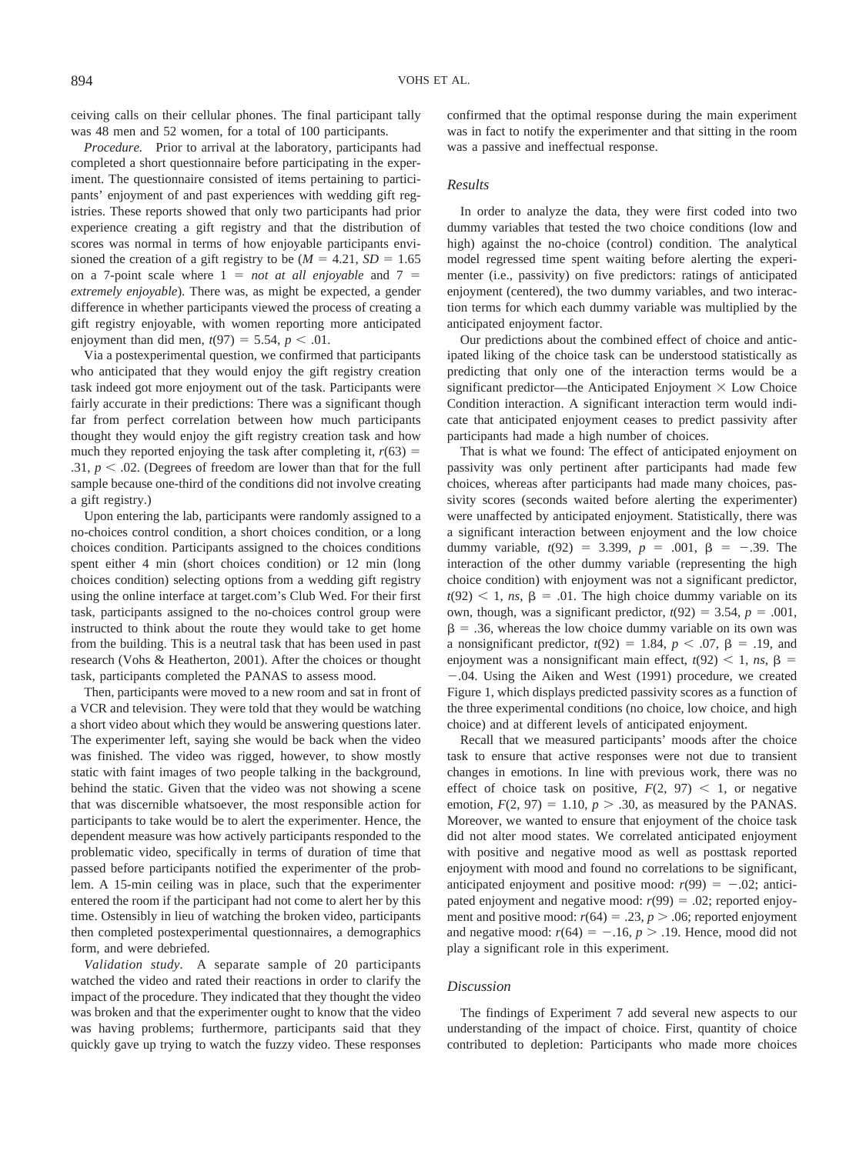ceiving calls on their cellular phones. The final participant tally was 48 men and 52 women, for a total of 100 participants.

*Procedure.* Prior to arrival at the laboratory, participants had completed a short questionnaire before participating in the experiment. The questionnaire consisted of items pertaining to participants' enjoyment of and past experiences with wedding gift registries. These reports showed that only two participants had prior experience creating a gift registry and that the distribution of scores was normal in terms of how enjoyable participants envisioned the creation of a gift registry to be  $(M = 4.21, SD = 1.65$ on a 7-point scale where  $1 = not at all *enjovable* and  $7 =$$ *extremely enjoyable*). There was, as might be expected, a gender difference in whether participants viewed the process of creating a gift registry enjoyable, with women reporting more anticipated enjoyment than did men,  $t(97) = 5.54$ ,  $p < .01$ .

Via a postexperimental question, we confirmed that participants who anticipated that they would enjoy the gift registry creation task indeed got more enjoyment out of the task. Participants were fairly accurate in their predictions: There was a significant though far from perfect correlation between how much participants thought they would enjoy the gift registry creation task and how much they reported enjoying the task after completing it,  $r(63)$  =  $.31, p \leq .02$ . (Degrees of freedom are lower than that for the full sample because one-third of the conditions did not involve creating a gift registry.)

Upon entering the lab, participants were randomly assigned to a no-choices control condition, a short choices condition, or a long choices condition. Participants assigned to the choices conditions spent either 4 min (short choices condition) or 12 min (long choices condition) selecting options from a wedding gift registry using the online interface at target.com's Club Wed. For their first task, participants assigned to the no-choices control group were instructed to think about the route they would take to get home from the building. This is a neutral task that has been used in past research (Vohs & Heatherton, 2001). After the choices or thought task, participants completed the PANAS to assess mood.

Then, participants were moved to a new room and sat in front of a VCR and television. They were told that they would be watching a short video about which they would be answering questions later. The experimenter left, saying she would be back when the video was finished. The video was rigged, however, to show mostly static with faint images of two people talking in the background, behind the static. Given that the video was not showing a scene that was discernible whatsoever, the most responsible action for participants to take would be to alert the experimenter. Hence, the dependent measure was how actively participants responded to the problematic video, specifically in terms of duration of time that passed before participants notified the experimenter of the problem. A 15-min ceiling was in place, such that the experimenter entered the room if the participant had not come to alert her by this time. Ostensibly in lieu of watching the broken video, participants then completed postexperimental questionnaires, a demographics form, and were debriefed.

*Validation study.* A separate sample of 20 participants watched the video and rated their reactions in order to clarify the impact of the procedure. They indicated that they thought the video was broken and that the experimenter ought to know that the video was having problems; furthermore, participants said that they quickly gave up trying to watch the fuzzy video. These responses confirmed that the optimal response during the main experiment was in fact to notify the experimenter and that sitting in the room was a passive and ineffectual response.

#### *Results*

In order to analyze the data, they were first coded into two dummy variables that tested the two choice conditions (low and high) against the no-choice (control) condition. The analytical model regressed time spent waiting before alerting the experimenter (i.e., passivity) on five predictors: ratings of anticipated enjoyment (centered), the two dummy variables, and two interaction terms for which each dummy variable was multiplied by the anticipated enjoyment factor.

Our predictions about the combined effect of choice and anticipated liking of the choice task can be understood statistically as predicting that only one of the interaction terms would be a significant predictor—the Anticipated Enjoyment  $\times$  Low Choice Condition interaction. A significant interaction term would indicate that anticipated enjoyment ceases to predict passivity after participants had made a high number of choices.

That is what we found: The effect of anticipated enjoyment on passivity was only pertinent after participants had made few choices, whereas after participants had made many choices, passivity scores (seconds waited before alerting the experimenter) were unaffected by anticipated enjoyment. Statistically, there was a significant interaction between enjoyment and the low choice dummy variable,  $t(92) = 3.399$ ,  $p = .001$ ,  $\beta = -.39$ . The interaction of the other dummy variable (representing the high choice condition) with enjoyment was not a significant predictor,  $t(92)$  < 1, *ns*,  $\beta$  = .01. The high choice dummy variable on its own, though, was a significant predictor,  $t(92) = 3.54$ ,  $p = .001$ ,  $\beta = .36$ , whereas the low choice dummy variable on its own was a nonsignificant predictor,  $t(92) = 1.84$ ,  $p < .07$ ,  $\beta = .19$ , and enjoyment was a nonsignificant main effect,  $t(92) < 1$ , *ns*,  $\beta$  = .04. Using the Aiken and West (1991) procedure, we created Figure 1, which displays predicted passivity scores as a function of the three experimental conditions (no choice, low choice, and high choice) and at different levels of anticipated enjoyment.

Recall that we measured participants' moods after the choice task to ensure that active responses were not due to transient changes in emotions. In line with previous work, there was no effect of choice task on positive,  $F(2, 97) < 1$ , or negative emotion,  $F(2, 97) = 1.10$ ,  $p > .30$ , as measured by the PANAS. Moreover, we wanted to ensure that enjoyment of the choice task did not alter mood states. We correlated anticipated enjoyment with positive and negative mood as well as posttask reported enjoyment with mood and found no correlations to be significant, anticipated enjoyment and positive mood:  $r(99) = -.02$ ; anticipated enjoyment and negative mood:  $r(99) = .02$ ; reported enjoyment and positive mood:  $r(64) = .23$ ,  $p > .06$ ; reported enjoyment and negative mood:  $r(64) = -.16$ ,  $p > .19$ . Hence, mood did not play a significant role in this experiment.

#### *Discussion*

The findings of Experiment 7 add several new aspects to our understanding of the impact of choice. First, quantity of choice contributed to depletion: Participants who made more choices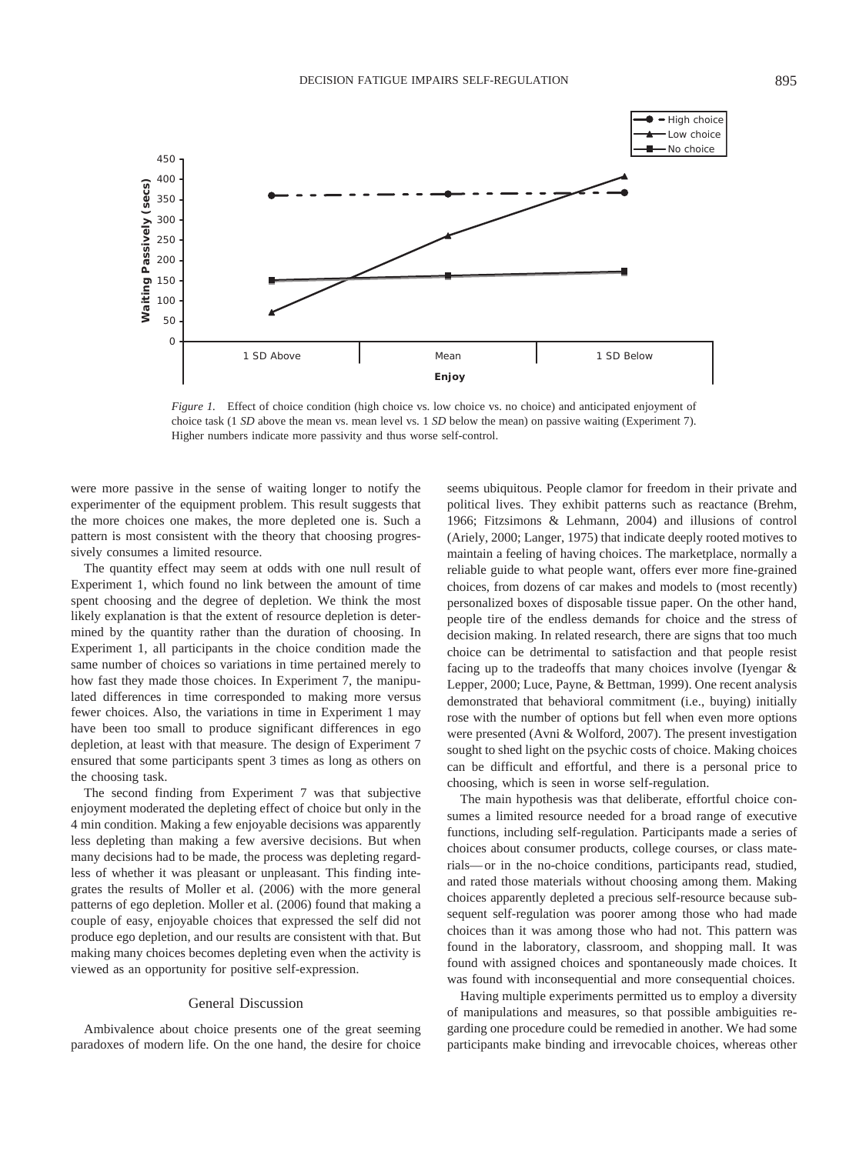

*Figure 1.* Effect of choice condition (high choice vs. low choice vs. no choice) and anticipated enjoyment of choice task (1 *SD* above the mean vs. mean level vs. 1 *SD* below the mean) on passive waiting (Experiment 7). Higher numbers indicate more passivity and thus worse self-control.

were more passive in the sense of waiting longer to notify the experimenter of the equipment problem. This result suggests that the more choices one makes, the more depleted one is. Such a pattern is most consistent with the theory that choosing progressively consumes a limited resource.

The quantity effect may seem at odds with one null result of Experiment 1, which found no link between the amount of time spent choosing and the degree of depletion. We think the most likely explanation is that the extent of resource depletion is determined by the quantity rather than the duration of choosing. In Experiment 1, all participants in the choice condition made the same number of choices so variations in time pertained merely to how fast they made those choices. In Experiment 7, the manipulated differences in time corresponded to making more versus fewer choices. Also, the variations in time in Experiment 1 may have been too small to produce significant differences in ego depletion, at least with that measure. The design of Experiment 7 ensured that some participants spent 3 times as long as others on the choosing task.

The second finding from Experiment 7 was that subjective enjoyment moderated the depleting effect of choice but only in the 4 min condition. Making a few enjoyable decisions was apparently less depleting than making a few aversive decisions. But when many decisions had to be made, the process was depleting regardless of whether it was pleasant or unpleasant. This finding integrates the results of Moller et al. (2006) with the more general patterns of ego depletion. Moller et al. (2006) found that making a couple of easy, enjoyable choices that expressed the self did not produce ego depletion, and our results are consistent with that. But making many choices becomes depleting even when the activity is viewed as an opportunity for positive self-expression.

#### General Discussion

Ambivalence about choice presents one of the great seeming paradoxes of modern life. On the one hand, the desire for choice

seems ubiquitous. People clamor for freedom in their private and political lives. They exhibit patterns such as reactance (Brehm, 1966; Fitzsimons & Lehmann, 2004) and illusions of control (Ariely, 2000; Langer, 1975) that indicate deeply rooted motives to maintain a feeling of having choices. The marketplace, normally a reliable guide to what people want, offers ever more fine-grained choices, from dozens of car makes and models to (most recently) personalized boxes of disposable tissue paper. On the other hand, people tire of the endless demands for choice and the stress of decision making. In related research, there are signs that too much choice can be detrimental to satisfaction and that people resist facing up to the tradeoffs that many choices involve (Iyengar & Lepper, 2000; Luce, Payne, & Bettman, 1999). One recent analysis demonstrated that behavioral commitment (i.e., buying) initially rose with the number of options but fell when even more options were presented (Avni & Wolford, 2007). The present investigation sought to shed light on the psychic costs of choice. Making choices can be difficult and effortful, and there is a personal price to choosing, which is seen in worse self-regulation.

The main hypothesis was that deliberate, effortful choice consumes a limited resource needed for a broad range of executive functions, including self-regulation. Participants made a series of choices about consumer products, college courses, or class materials— or in the no-choice conditions, participants read, studied, and rated those materials without choosing among them. Making choices apparently depleted a precious self-resource because subsequent self-regulation was poorer among those who had made choices than it was among those who had not. This pattern was found in the laboratory, classroom, and shopping mall. It was found with assigned choices and spontaneously made choices. It was found with inconsequential and more consequential choices.

Having multiple experiments permitted us to employ a diversity of manipulations and measures, so that possible ambiguities regarding one procedure could be remedied in another. We had some participants make binding and irrevocable choices, whereas other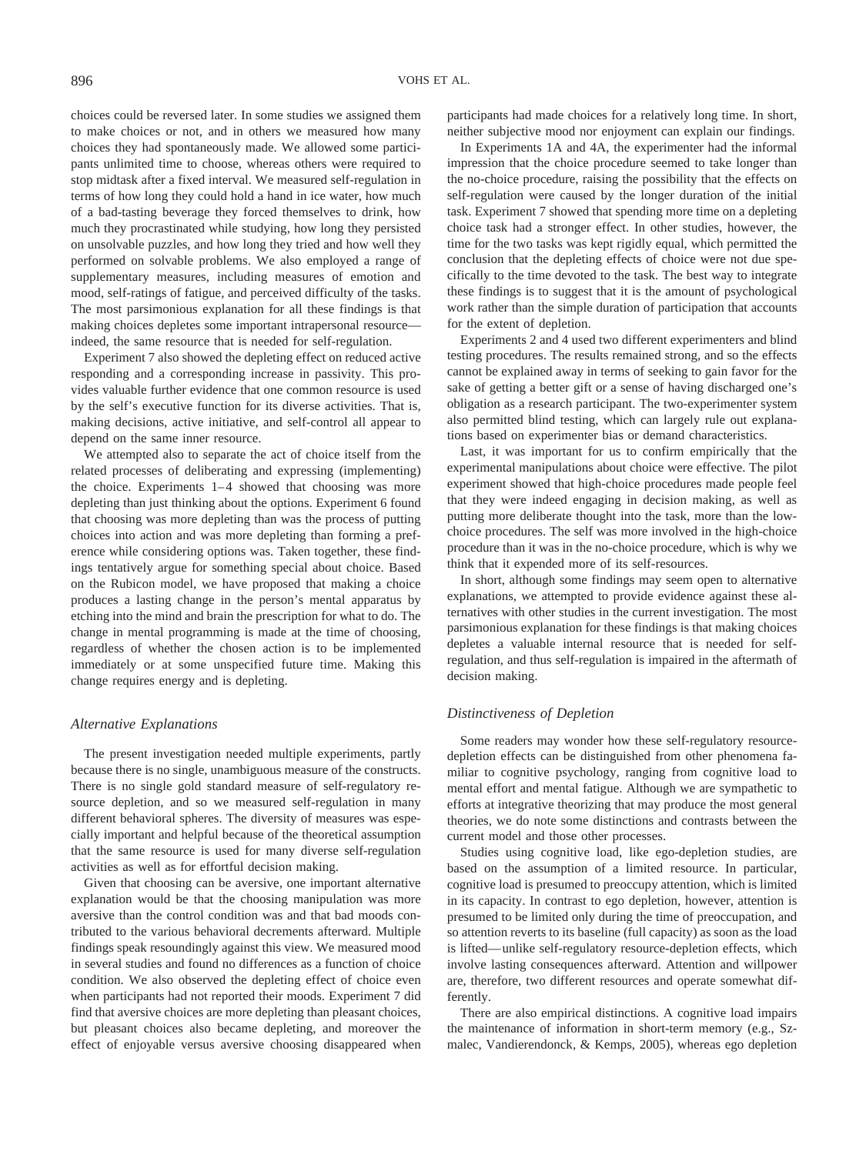choices could be reversed later. In some studies we assigned them to make choices or not, and in others we measured how many choices they had spontaneously made. We allowed some participants unlimited time to choose, whereas others were required to stop midtask after a fixed interval. We measured self-regulation in terms of how long they could hold a hand in ice water, how much of a bad-tasting beverage they forced themselves to drink, how much they procrastinated while studying, how long they persisted on unsolvable puzzles, and how long they tried and how well they performed on solvable problems. We also employed a range of supplementary measures, including measures of emotion and mood, self-ratings of fatigue, and perceived difficulty of the tasks. The most parsimonious explanation for all these findings is that making choices depletes some important intrapersonal resource indeed, the same resource that is needed for self-regulation.

Experiment 7 also showed the depleting effect on reduced active responding and a corresponding increase in passivity. This provides valuable further evidence that one common resource is used by the self's executive function for its diverse activities. That is, making decisions, active initiative, and self-control all appear to depend on the same inner resource.

We attempted also to separate the act of choice itself from the related processes of deliberating and expressing (implementing) the choice. Experiments  $1-4$  showed that choosing was more depleting than just thinking about the options. Experiment 6 found that choosing was more depleting than was the process of putting choices into action and was more depleting than forming a preference while considering options was. Taken together, these findings tentatively argue for something special about choice. Based on the Rubicon model, we have proposed that making a choice produces a lasting change in the person's mental apparatus by etching into the mind and brain the prescription for what to do. The change in mental programming is made at the time of choosing, regardless of whether the chosen action is to be implemented immediately or at some unspecified future time. Making this change requires energy and is depleting.

#### *Alternative Explanations*

The present investigation needed multiple experiments, partly because there is no single, unambiguous measure of the constructs. There is no single gold standard measure of self-regulatory resource depletion, and so we measured self-regulation in many different behavioral spheres. The diversity of measures was especially important and helpful because of the theoretical assumption that the same resource is used for many diverse self-regulation activities as well as for effortful decision making.

Given that choosing can be aversive, one important alternative explanation would be that the choosing manipulation was more aversive than the control condition was and that bad moods contributed to the various behavioral decrements afterward. Multiple findings speak resoundingly against this view. We measured mood in several studies and found no differences as a function of choice condition. We also observed the depleting effect of choice even when participants had not reported their moods. Experiment 7 did find that aversive choices are more depleting than pleasant choices, but pleasant choices also became depleting, and moreover the effect of enjoyable versus aversive choosing disappeared when participants had made choices for a relatively long time. In short, neither subjective mood nor enjoyment can explain our findings.

In Experiments 1A and 4A, the experimenter had the informal impression that the choice procedure seemed to take longer than the no-choice procedure, raising the possibility that the effects on self-regulation were caused by the longer duration of the initial task. Experiment 7 showed that spending more time on a depleting choice task had a stronger effect. In other studies, however, the time for the two tasks was kept rigidly equal, which permitted the conclusion that the depleting effects of choice were not due specifically to the time devoted to the task. The best way to integrate these findings is to suggest that it is the amount of psychological work rather than the simple duration of participation that accounts for the extent of depletion.

Experiments 2 and 4 used two different experimenters and blind testing procedures. The results remained strong, and so the effects cannot be explained away in terms of seeking to gain favor for the sake of getting a better gift or a sense of having discharged one's obligation as a research participant. The two-experimenter system also permitted blind testing, which can largely rule out explanations based on experimenter bias or demand characteristics.

Last, it was important for us to confirm empirically that the experimental manipulations about choice were effective. The pilot experiment showed that high-choice procedures made people feel that they were indeed engaging in decision making, as well as putting more deliberate thought into the task, more than the lowchoice procedures. The self was more involved in the high-choice procedure than it was in the no-choice procedure, which is why we think that it expended more of its self-resources.

In short, although some findings may seem open to alternative explanations, we attempted to provide evidence against these alternatives with other studies in the current investigation. The most parsimonious explanation for these findings is that making choices depletes a valuable internal resource that is needed for selfregulation, and thus self-regulation is impaired in the aftermath of decision making.

#### *Distinctiveness of Depletion*

Some readers may wonder how these self-regulatory resourcedepletion effects can be distinguished from other phenomena familiar to cognitive psychology, ranging from cognitive load to mental effort and mental fatigue. Although we are sympathetic to efforts at integrative theorizing that may produce the most general theories, we do note some distinctions and contrasts between the current model and those other processes.

Studies using cognitive load, like ego-depletion studies, are based on the assumption of a limited resource. In particular, cognitive load is presumed to preoccupy attention, which is limited in its capacity. In contrast to ego depletion, however, attention is presumed to be limited only during the time of preoccupation, and so attention reverts to its baseline (full capacity) as soon as the load is lifted— unlike self-regulatory resource-depletion effects, which involve lasting consequences afterward. Attention and willpower are, therefore, two different resources and operate somewhat differently.

There are also empirical distinctions. A cognitive load impairs the maintenance of information in short-term memory (e.g., Szmalec, Vandierendonck, & Kemps, 2005), whereas ego depletion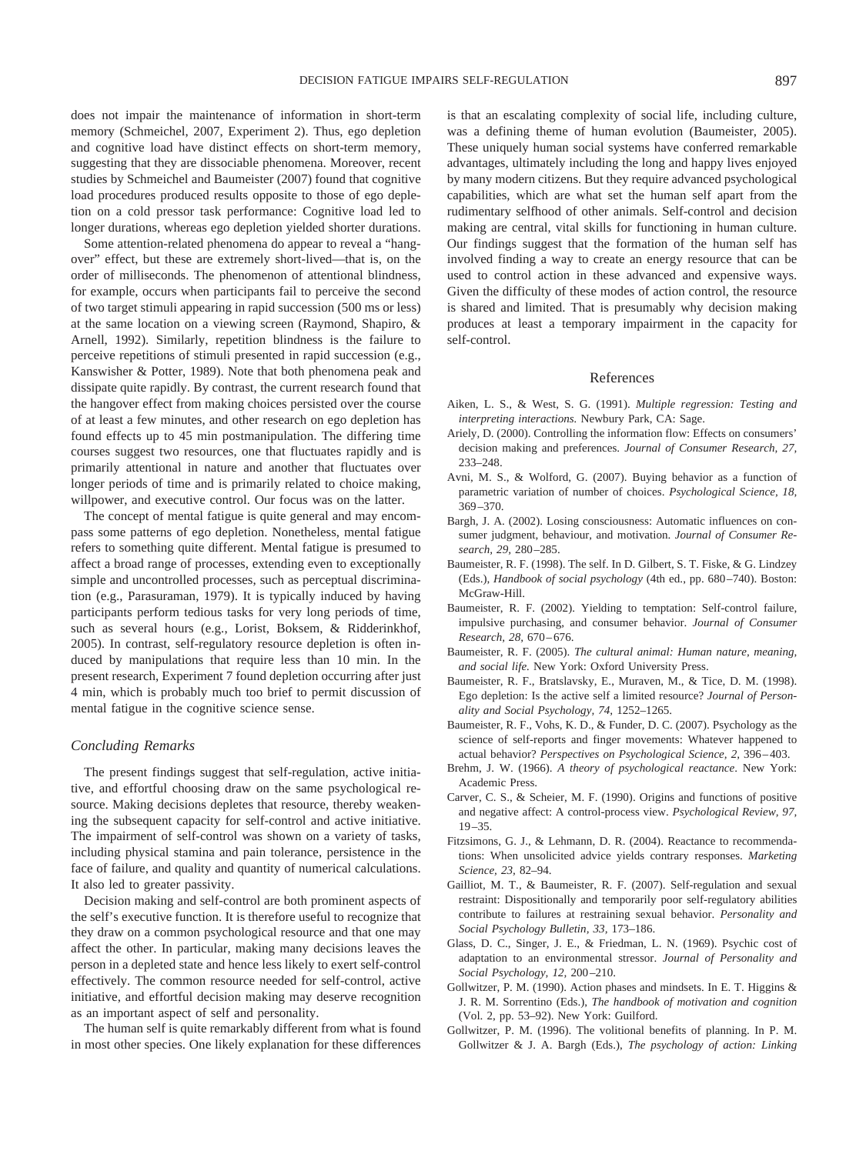does not impair the maintenance of information in short-term memory (Schmeichel, 2007, Experiment 2). Thus, ego depletion and cognitive load have distinct effects on short-term memory, suggesting that they are dissociable phenomena. Moreover, recent studies by Schmeichel and Baumeister (2007) found that cognitive load procedures produced results opposite to those of ego depletion on a cold pressor task performance: Cognitive load led to longer durations, whereas ego depletion yielded shorter durations.

Some attention-related phenomena do appear to reveal a "hangover" effect, but these are extremely short-lived—that is, on the order of milliseconds. The phenomenon of attentional blindness, for example, occurs when participants fail to perceive the second of two target stimuli appearing in rapid succession (500 ms or less) at the same location on a viewing screen (Raymond, Shapiro, & Arnell, 1992). Similarly, repetition blindness is the failure to perceive repetitions of stimuli presented in rapid succession (e.g., Kanswisher & Potter, 1989). Note that both phenomena peak and dissipate quite rapidly. By contrast, the current research found that the hangover effect from making choices persisted over the course of at least a few minutes, and other research on ego depletion has found effects up to 45 min postmanipulation. The differing time courses suggest two resources, one that fluctuates rapidly and is primarily attentional in nature and another that fluctuates over longer periods of time and is primarily related to choice making, willpower, and executive control. Our focus was on the latter.

The concept of mental fatigue is quite general and may encompass some patterns of ego depletion. Nonetheless, mental fatigue refers to something quite different. Mental fatigue is presumed to affect a broad range of processes, extending even to exceptionally simple and uncontrolled processes, such as perceptual discrimination (e.g., Parasuraman, 1979). It is typically induced by having participants perform tedious tasks for very long periods of time, such as several hours (e.g., Lorist, Boksem, & Ridderinkhof, 2005). In contrast, self-regulatory resource depletion is often induced by manipulations that require less than 10 min. In the present research, Experiment 7 found depletion occurring after just 4 min, which is probably much too brief to permit discussion of mental fatigue in the cognitive science sense.

#### *Concluding Remarks*

The present findings suggest that self-regulation, active initiative, and effortful choosing draw on the same psychological resource. Making decisions depletes that resource, thereby weakening the subsequent capacity for self-control and active initiative. The impairment of self-control was shown on a variety of tasks, including physical stamina and pain tolerance, persistence in the face of failure, and quality and quantity of numerical calculations. It also led to greater passivity.

Decision making and self-control are both prominent aspects of the self's executive function. It is therefore useful to recognize that they draw on a common psychological resource and that one may affect the other. In particular, making many decisions leaves the person in a depleted state and hence less likely to exert self-control effectively. The common resource needed for self-control, active initiative, and effortful decision making may deserve recognition as an important aspect of self and personality.

The human self is quite remarkably different from what is found in most other species. One likely explanation for these differences is that an escalating complexity of social life, including culture, was a defining theme of human evolution (Baumeister, 2005). These uniquely human social systems have conferred remarkable advantages, ultimately including the long and happy lives enjoyed by many modern citizens. But they require advanced psychological capabilities, which are what set the human self apart from the rudimentary selfhood of other animals. Self-control and decision making are central, vital skills for functioning in human culture. Our findings suggest that the formation of the human self has involved finding a way to create an energy resource that can be used to control action in these advanced and expensive ways. Given the difficulty of these modes of action control, the resource is shared and limited. That is presumably why decision making produces at least a temporary impairment in the capacity for self-control.

#### References

- Aiken, L. S., & West, S. G. (1991). *Multiple regression: Testing and interpreting interactions.* Newbury Park, CA: Sage.
- Ariely, D. (2000). Controlling the information flow: Effects on consumers' decision making and preferences. *Journal of Consumer Research, 27,* 233–248.
- Avni, M. S., & Wolford, G. (2007). Buying behavior as a function of parametric variation of number of choices. *Psychological Science, 18,* 369 –370.
- Bargh, J. A. (2002). Losing consciousness: Automatic influences on consumer judgment, behaviour, and motivation. *Journal of Consumer Research, 29,* 280 –285.
- Baumeister, R. F. (1998). The self. In D. Gilbert, S. T. Fiske, & G. Lindzey (Eds.), *Handbook of social psychology* (4th ed., pp. 680 –740). Boston: McGraw-Hill.
- Baumeister, R. F. (2002). Yielding to temptation: Self-control failure, impulsive purchasing, and consumer behavior. *Journal of Consumer Research, 28,* 670 – 676.
- Baumeister, R. F. (2005). *The cultural animal: Human nature, meaning, and social life.* New York: Oxford University Press.
- Baumeister, R. F., Bratslavsky, E., Muraven, M., & Tice, D. M. (1998). Ego depletion: Is the active self a limited resource? *Journal of Personality and Social Psychology, 74,* 1252–1265.
- Baumeister, R. F., Vohs, K. D., & Funder, D. C. (2007). Psychology as the science of self-reports and finger movements: Whatever happened to actual behavior? *Perspectives on Psychological Science, 2,* 396 – 403.
- Brehm, J. W. (1966). *A theory of psychological reactance*. New York: Academic Press.
- Carver, C. S., & Scheier, M. F. (1990). Origins and functions of positive and negative affect: A control-process view. *Psychological Review, 97,*  $19 - 35.$
- Fitzsimons, G. J., & Lehmann, D. R. (2004). Reactance to recommendations: When unsolicited advice yields contrary responses. *Marketing Science, 23,* 82–94.
- Gailliot, M. T., & Baumeister, R. F. (2007). Self-regulation and sexual restraint: Dispositionally and temporarily poor self-regulatory abilities contribute to failures at restraining sexual behavior. *Personality and Social Psychology Bulletin, 33,* 173–186.
- Glass, D. C., Singer, J. E., & Friedman, L. N. (1969). Psychic cost of adaptation to an environmental stressor. *Journal of Personality and Social Psychology, 12,* 200 –210.
- Gollwitzer, P. M. (1990). Action phases and mindsets. In E. T. Higgins & J. R. M. Sorrentino (Eds.), *The handbook of motivation and cognition* (Vol. 2, pp. 53–92). New York: Guilford.
- Gollwitzer, P. M. (1996). The volitional benefits of planning. In P. M. Gollwitzer & J. A. Bargh (Eds.), *The psychology of action: Linking*